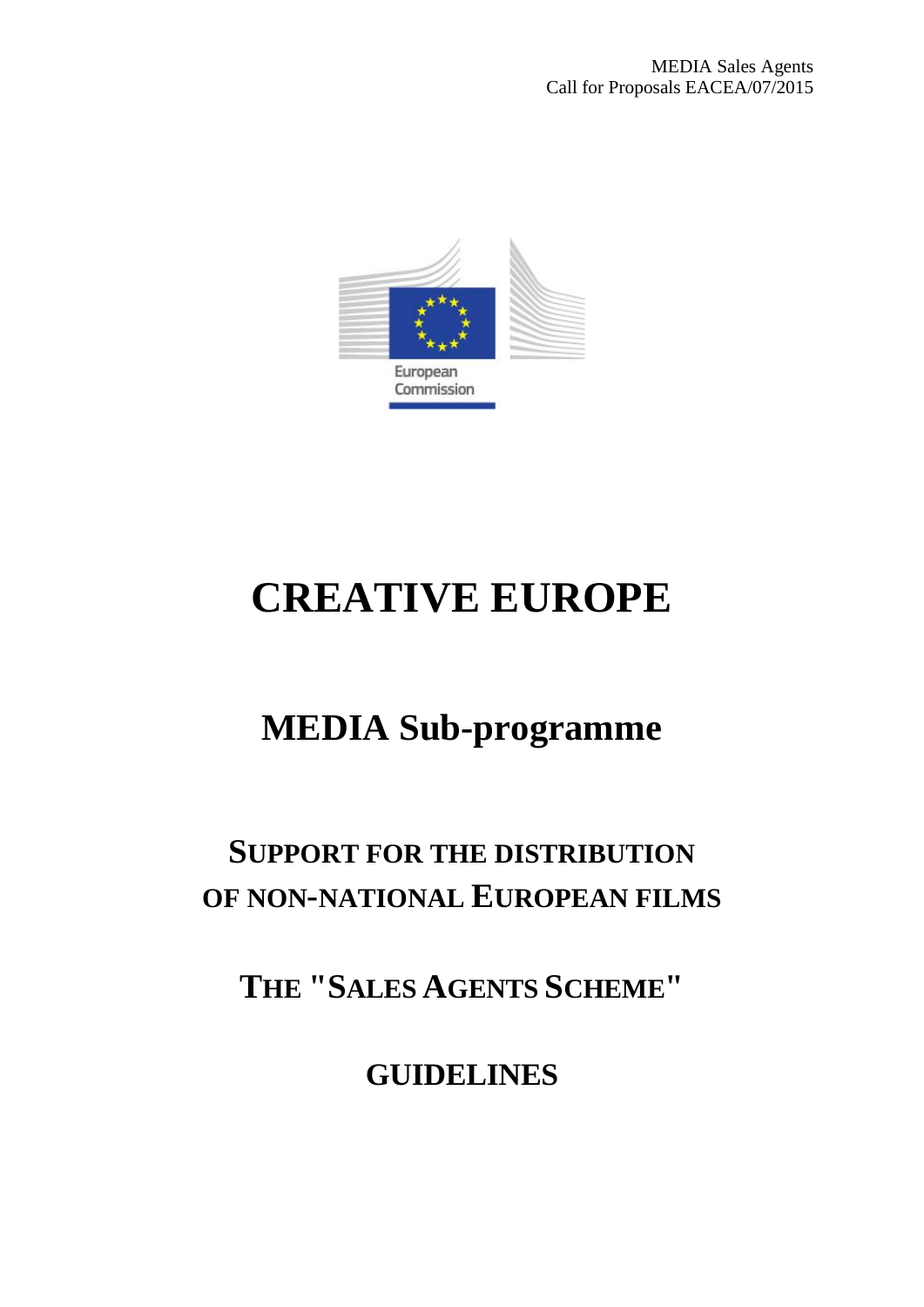

# **CREATIVE EUROPE**

# **MEDIA Sub-programme**

# **SUPPORT FOR THE DISTRIBUTION OF NON-NATIONAL EUROPEAN FILMS**

**THE "SALES AGENTS SCHEME"**

**GUIDELINES**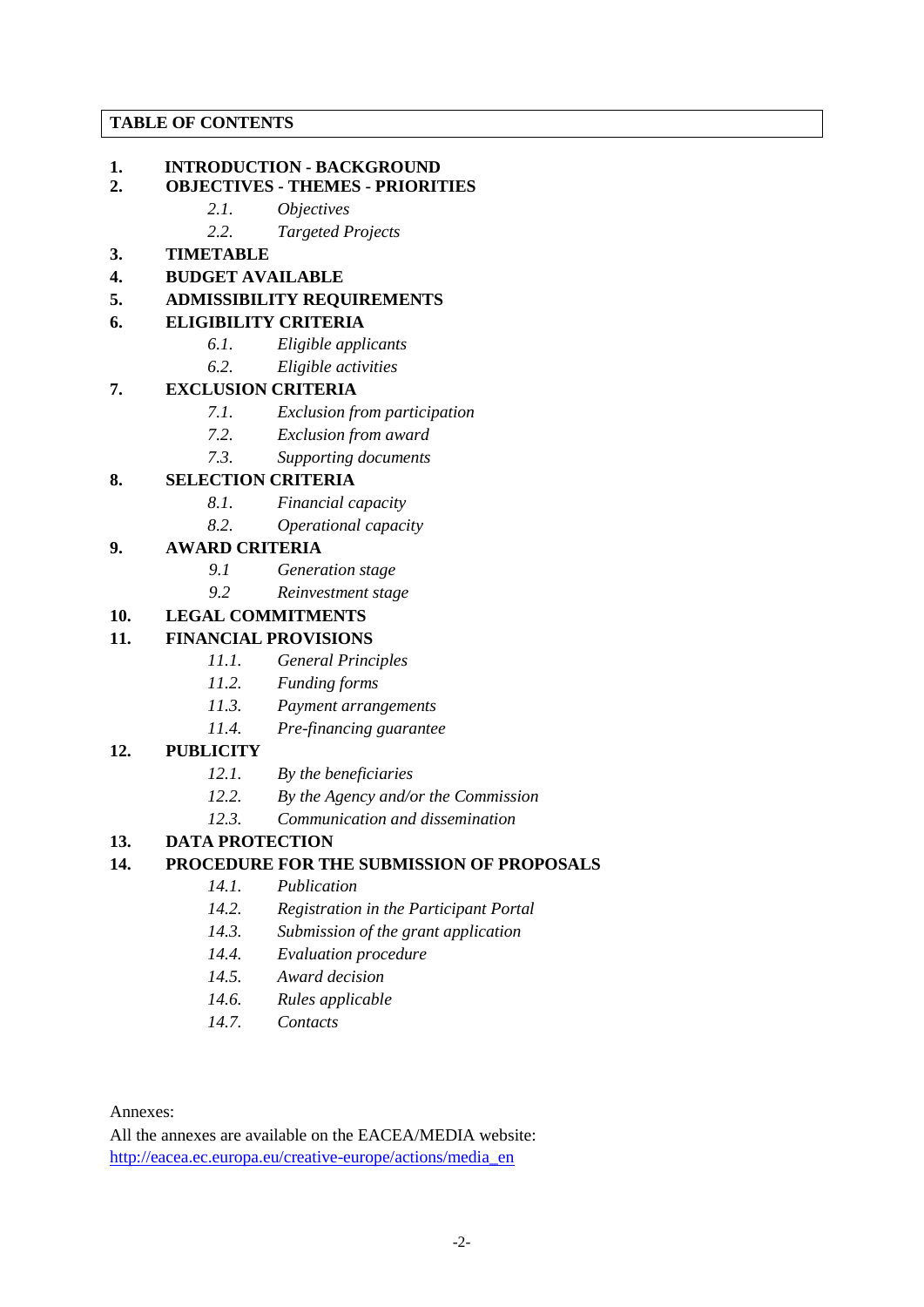#### **TABLE OF CONTENTS**

# **1. INTRODUCTION - BACKGROUND**

#### **2. OBJECTIVES - THEMES - PRIORITIES**

- *2.1. Objectives*
- *2.2. Targeted Projects*

# **3. TIMETABLE**

**4. BUDGET AVAILABLE**

#### **5. ADMISSIBILITY REQUIREMENTS**

# **6. ELIGIBILITY CRITERIA**

- *6.1. Eligible applicants*
- *6.2. Eligible activities*

# **7. EXCLUSION CRITERIA**

- *7.1. Exclusion from participation*
- *7.2. Exclusion from award*
- *7.3. Supporting documents*

# **8. SELECTION CRITERIA**

- *8.1. Financial capacity*
- *8.2. Operational capacity*

# **9. AWARD CRITERIA**

- *9.1 Generation stage*
- *9.2 Reinvestment stage*

# **10. LEGAL COMMITMENTS**

# **11. FINANCIAL PROVISIONS**

- *11.1. General Principles*
- *11.2. Funding forms*
- *11.3. Payment arrangements*
- *11.4. Pre-financing guarantee*

# **12. PUBLICITY**

- *12.1. By the beneficiaries*
- *12.2. By the Agency and/or the Commission*
- *12.3. Communication and dissemination*

# **13. DATA PROTECTION**

# **14. PROCEDURE FOR THE SUBMISSION OF PROPOSALS**

- *14.1. Publication*
- *14.2. Registration in the Participant Portal*
- *14.3. Submission of the grant application*
- *14.4. Evaluation procedure*
- *14.5. Award decision*
- *14.6. Rules applicable*
- *14.7. Contacts*

Annexes:

All the annexes are available on the EACEA/MEDIA website: [http://eacea.ec.europa.eu/creative-europe/actions/media\\_en](http://eacea.ec.europa.eu/creative-europe/actions/media_en)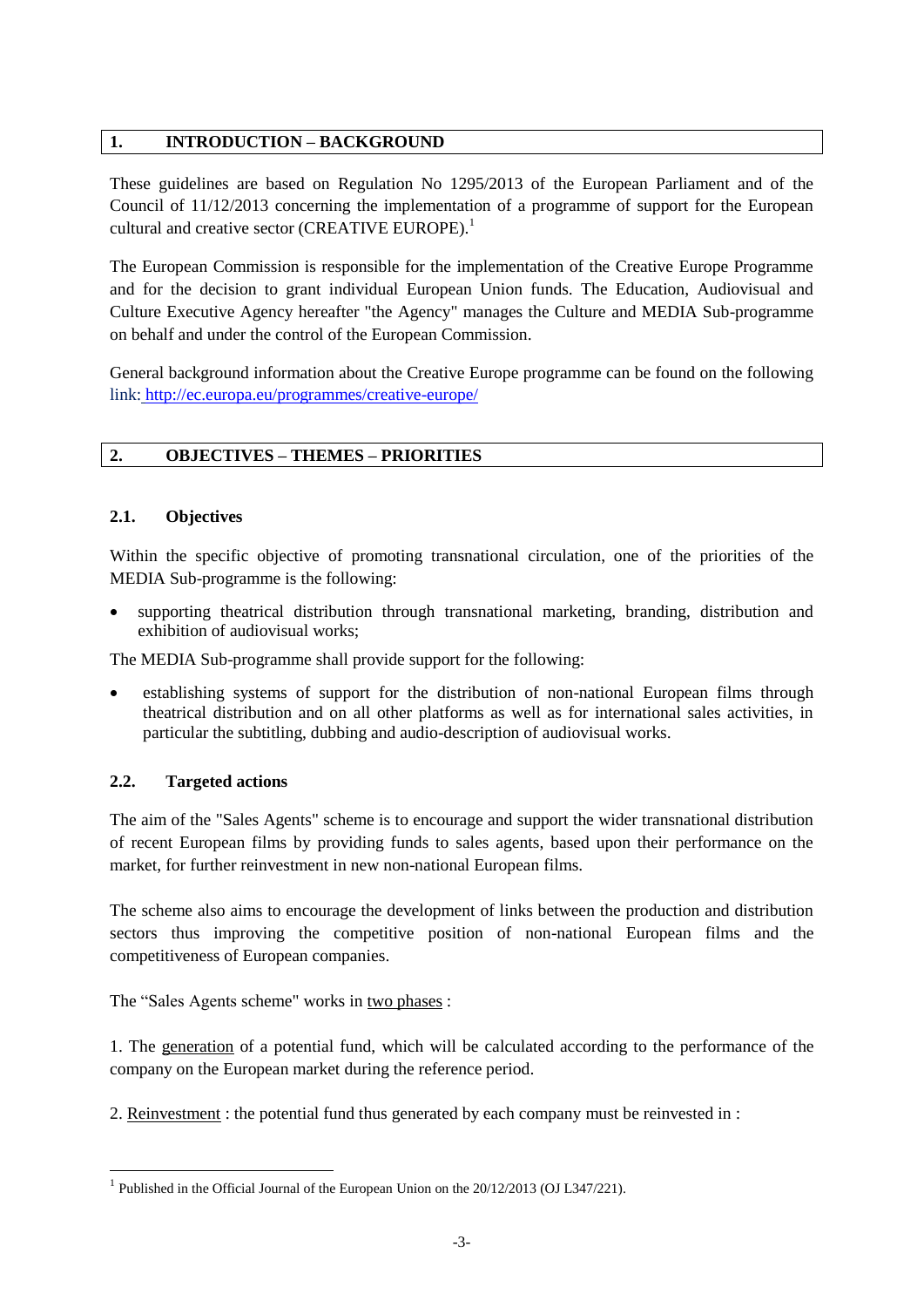# **1. INTRODUCTION – BACKGROUND**

These guidelines are based on Regulation No 1295/2013 of the European Parliament and of the Council of 11/12/2013 concerning the implementation of a programme of support for the European cultural and creative sector (CREATIVE EUROPE). $<sup>1</sup>$ </sup>

The European Commission is responsible for the implementation of the Creative Europe Programme and for the decision to grant individual European Union funds. The Education, Audiovisual and Culture Executive Agency hereafter "the Agency" manages the Culture and MEDIA Sub-programme on behalf and under the control of the European Commission.

General background information about the Creative Europe programme can be found on the following link: <http://ec.europa.eu/programmes/creative-europe/>

# **2. OBJECTIVES – THEMES – PRIORITIES**

#### **2.1. Objectives**

Within the specific objective of promoting transnational circulation, one of the priorities of the MEDIA Sub-programme is the following:

 supporting theatrical distribution through transnational marketing, branding, distribution and exhibition of audiovisual works;

The MEDIA Sub-programme shall provide support for the following:

 establishing systems of support for the distribution of non-national European films through theatrical distribution and on all other platforms as well as for international sales activities, in particular the subtitling, dubbing and audio-description of audiovisual works.

# **2.2. Targeted actions**

The aim of the "Sales Agents" scheme is to encourage and support the wider transnational distribution of recent European films by providing funds to sales agents, based upon their performance on the market, for further reinvestment in new non-national European films.

The scheme also aims to encourage the development of links between the production and distribution sectors thus improving the competitive position of non-national European films and the competitiveness of European companies.

The "Sales Agents scheme" works in two phases :

1. The generation of a potential fund, which will be calculated according to the performance of the company on the European market during the reference period.

2. Reinvestment : the potential fund thus generated by each company must be reinvested in :

**<sup>.</sup>** <sup>1</sup> Published in the Official Journal of the European Union on the 20/12/2013 (OJ L347/221).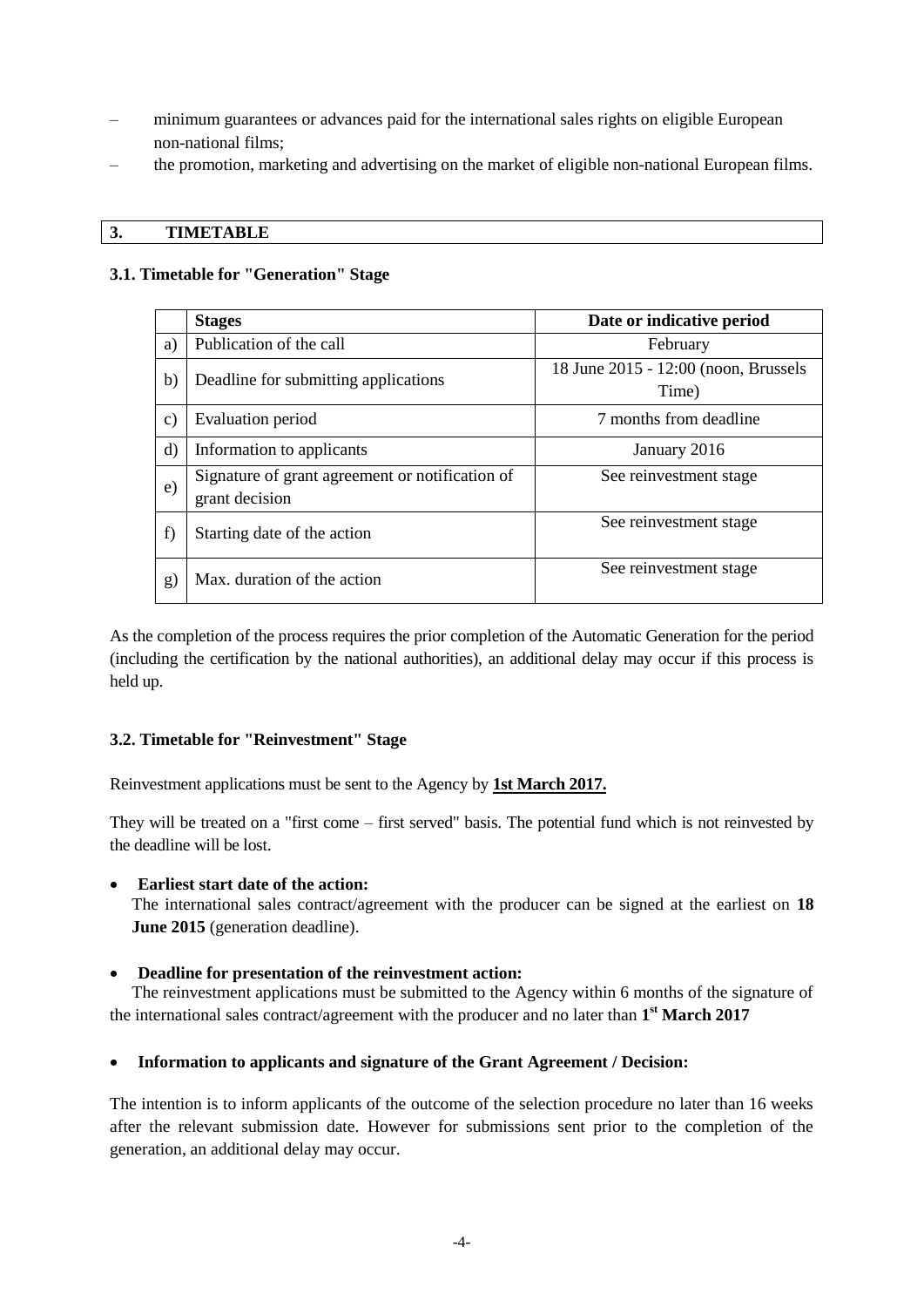- minimum guarantees or advances paid for the international sales rights on eligible European non-national films;
- the promotion, marketing and advertising on the market of eligible non-national European films.

#### **3. TIMETABLE**

#### **3.1. Timetable for "Generation" Stage**

|                 | <b>Stages</b>                                                     | Date or indicative period                     |  |  |  |  |
|-----------------|-------------------------------------------------------------------|-----------------------------------------------|--|--|--|--|
| a)              | Publication of the call                                           | February                                      |  |  |  |  |
| b)              | Deadline for submitting applications                              | 18 June 2015 - 12:00 (noon, Brussels<br>Time) |  |  |  |  |
| $\mathcal{C}$ ) | Evaluation period                                                 | 7 months from deadline                        |  |  |  |  |
| $\rm d$         | Information to applicants                                         | January 2016                                  |  |  |  |  |
| e)              | Signature of grant agreement or notification of<br>grant decision | See reinvestment stage                        |  |  |  |  |
| f)              | Starting date of the action                                       | See reinvestment stage                        |  |  |  |  |
| g               | Max. duration of the action                                       | See reinvestment stage                        |  |  |  |  |

As the completion of the process requires the prior completion of the Automatic Generation for the period (including the certification by the national authorities), an additional delay may occur if this process is held up.

# **3.2. Timetable for "Reinvestment" Stage**

Reinvestment applications must be sent to the Agency by **1st March 2017.**

They will be treated on a "first come – first served" basis. The potential fund which is not reinvested by the deadline will be lost.

#### **Earliest start date of the action:**

The international sales contract/agreement with the producer can be signed at the earliest on **18 June 2015** (generation deadline).

#### **Deadline for presentation of the reinvestment action:**

The reinvestment applications must be submitted to the Agency within 6 months of the signature of the international sales contract/agreement with the producer and no later than **1 st March 2017**

#### **Information to applicants and signature of the Grant Agreement / Decision:**

The intention is to inform applicants of the outcome of the selection procedure no later than 16 weeks after the relevant submission date. However for submissions sent prior to the completion of the generation, an additional delay may occur.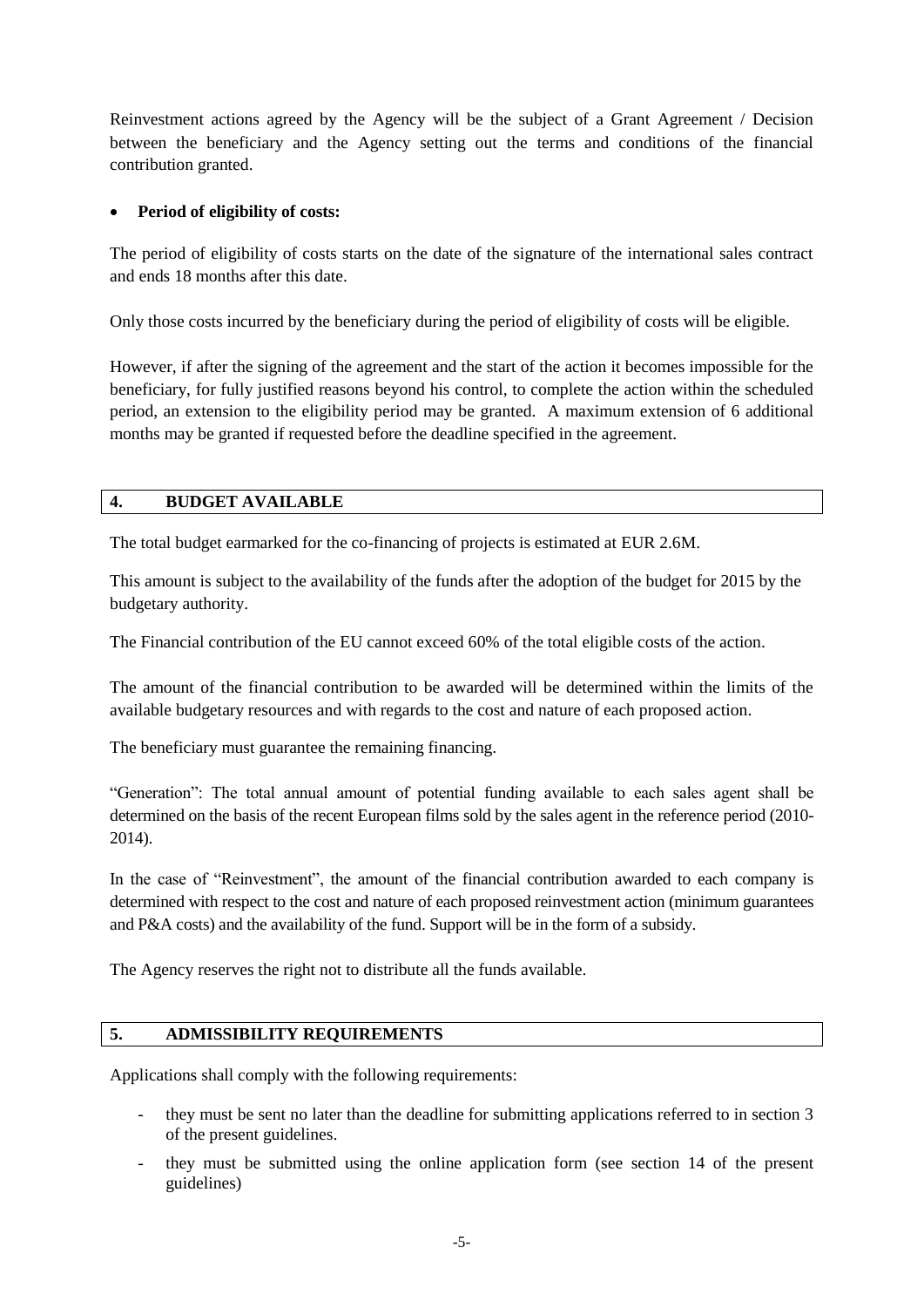Reinvestment actions agreed by the Agency will be the subject of a Grant Agreement / Decision between the beneficiary and the Agency setting out the terms and conditions of the financial contribution granted.

# **Period of eligibility of costs:**

The period of eligibility of costs starts on the date of the signature of the international sales contract and ends 18 months after this date.

Only those costs incurred by the beneficiary during the period of eligibility of costs will be eligible.

However, if after the signing of the agreement and the start of the action it becomes impossible for the beneficiary, for fully justified reasons beyond his control, to complete the action within the scheduled period, an extension to the eligibility period may be granted. A maximum extension of 6 additional months may be granted if requested before the deadline specified in the agreement.

# **4. BUDGET AVAILABLE**

The total budget earmarked for the co-financing of projects is estimated at EUR 2.6M.

This amount is subject to the availability of the funds after the adoption of the budget for 2015 by the budgetary authority.

The Financial contribution of the EU cannot exceed 60% of the total eligible costs of the action.

The amount of the financial contribution to be awarded will be determined within the limits of the available budgetary resources and with regards to the cost and nature of each proposed action.

The beneficiary must guarantee the remaining financing.

"Generation": The total annual amount of potential funding available to each sales agent shall be determined on the basis of the recent European films sold by the sales agent in the reference period (2010- 2014).

In the case of "Reinvestment", the amount of the financial contribution awarded to each company is determined with respect to the cost and nature of each proposed reinvestment action (minimum guarantees and P&A costs) and the availability of the fund. Support will be in the form of a subsidy.

The Agency reserves the right not to distribute all the funds available.

# **5. ADMISSIBILITY REQUIREMENTS**

Applications shall comply with the following requirements:

- they must be sent no later than the deadline for submitting applications referred to in section 3 of the present guidelines.
- they must be submitted using the online application form (see section 14 of the present guidelines)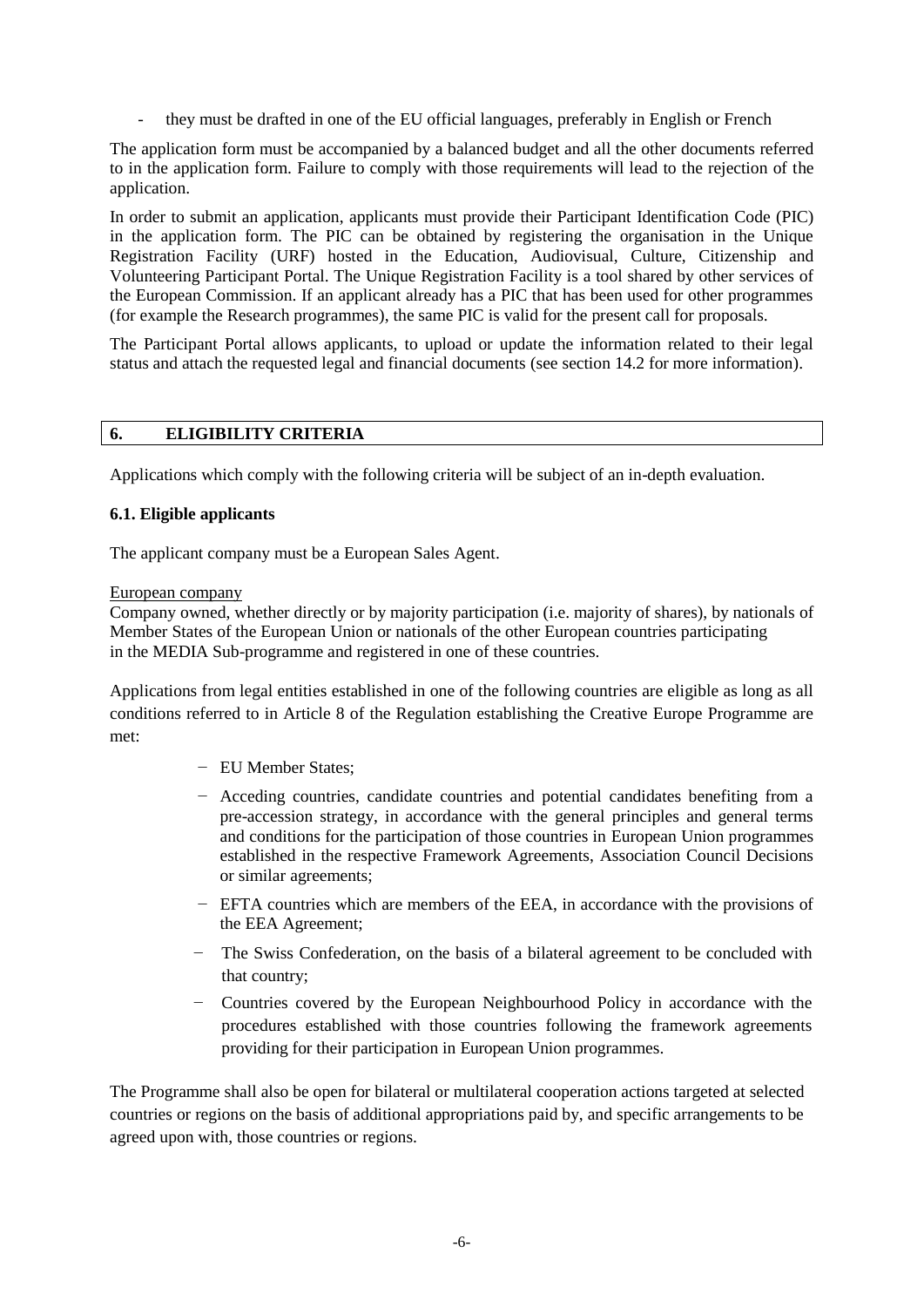they must be drafted in one of the EU official languages, preferably in English or French

The application form must be accompanied by a balanced budget and all the other documents referred to in the application form. Failure to comply with those requirements will lead to the rejection of the application.

In order to submit an application, applicants must provide their Participant Identification Code (PIC) in the application form. The PIC can be obtained by registering the organisation in the Unique Registration Facility (URF) hosted in the Education, Audiovisual, Culture, Citizenship and Volunteering Participant Portal. The Unique Registration Facility is a tool shared by other services of the European Commission. If an applicant already has a PIC that has been used for other programmes (for example the Research programmes), the same PIC is valid for the present call for proposals.

The Participant Portal allows applicants, to upload or update the information related to their legal status and attach the requested legal and financial documents (see section 14.2 for more information).

# **6. ELIGIBILITY CRITERIA**

Applications which comply with the following criteria will be subject of an in-depth evaluation.

#### **6.1. Eligible applicants**

The applicant company must be a European Sales Agent.

#### European company

Company owned, whether directly or by majority participation (i.e. majority of shares), by nationals of Member States of the European Union or nationals of the other European countries participating in the MEDIA Sub-programme and registered in one of these countries.

Applications from legal entities established in one of the following countries are eligible as long as all conditions referred to in Article 8 of the Regulation establishing the Creative Europe Programme are met:

- − EU Member States;
- − Acceding countries, candidate countries and potential candidates benefiting from a pre-accession strategy, in accordance with the general principles and general terms and conditions for the participation of those countries in European Union programmes established in the respective Framework Agreements, Association Council Decisions or similar agreements;
- − EFTA countries which are members of the EEA, in accordance with the provisions of the EEA Agreement;
- − The Swiss Confederation, on the basis of a bilateral agreement to be concluded with that country;
- − Countries covered by the European Neighbourhood Policy in accordance with the procedures established with those countries following the framework agreements providing for their participation in European Union programmes.

The Programme shall also be open for bilateral or multilateral cooperation actions targeted at selected countries or regions on the basis of additional appropriations paid by, and specific arrangements to be agreed upon with, those countries or regions.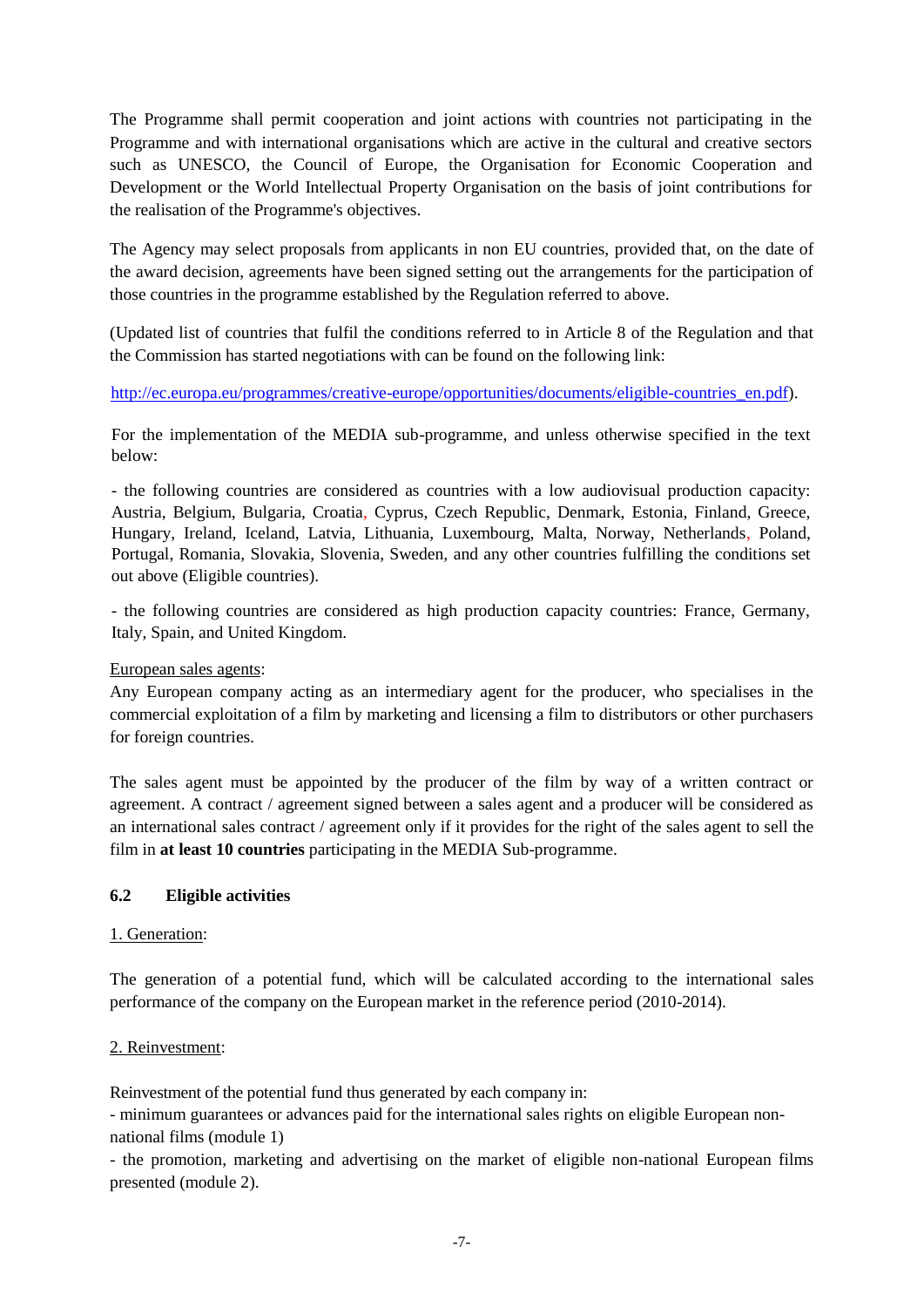The Programme shall permit cooperation and joint actions with countries not participating in the Programme and with international organisations which are active in the cultural and creative sectors such as UNESCO, the Council of Europe, the Organisation for Economic Cooperation and Development or the World Intellectual Property Organisation on the basis of joint contributions for the realisation of the Programme's objectives.

The Agency may select proposals from applicants in non EU countries, provided that, on the date of the award decision, agreements have been signed setting out the arrangements for the participation of those countries in the programme established by the Regulation referred to above.

(Updated list of countries that fulfil the conditions referred to in Article 8 of the Regulation and that the Commission has started negotiations with can be found on the following link:

[http://ec.europa.eu/programmes/creative-europe/opportunities/documents/eligible-countries\\_en.pdf\)](http://ec.europa.eu/programmes/creative-europe/opportunities/documents/eligible-countries_en.pdf).

For the implementation of the MEDIA sub-programme, and unless otherwise specified in the text below:

- the following countries are considered as countries with a low audiovisual production capacity: Austria, Belgium, Bulgaria, Croatia, Cyprus, Czech Republic, Denmark, Estonia, Finland, Greece, Hungary, Ireland, Iceland, Latvia, Lithuania, Luxembourg, Malta, Norway, Netherlands, Poland, Portugal, Romania, Slovakia, Slovenia, Sweden, and any other countries fulfilling the conditions set out above (Eligible countries).

- the following countries are considered as high production capacity countries: France, Germany, Italy, Spain, and United Kingdom.

European sales agents:

Any European company acting as an intermediary agent for the producer, who specialises in the commercial exploitation of a film by marketing and licensing a film to distributors or other purchasers for foreign countries.

The sales agent must be appointed by the producer of the film by way of a written contract or agreement. A contract / agreement signed between a sales agent and a producer will be considered as an international sales contract / agreement only if it provides for the right of the sales agent to sell the film in **at least 10 countries** participating in the MEDIA Sub-programme.

# **6.2 Eligible activities**

# 1. Generation:

The generation of a potential fund, which will be calculated according to the international sales performance of the company on the European market in the reference period (2010-2014).

# 2. Reinvestment:

Reinvestment of the potential fund thus generated by each company in:

- minimum guarantees or advances paid for the international sales rights on eligible European nonnational films (module 1)

- the promotion, marketing and advertising on the market of eligible non-national European films presented (module 2).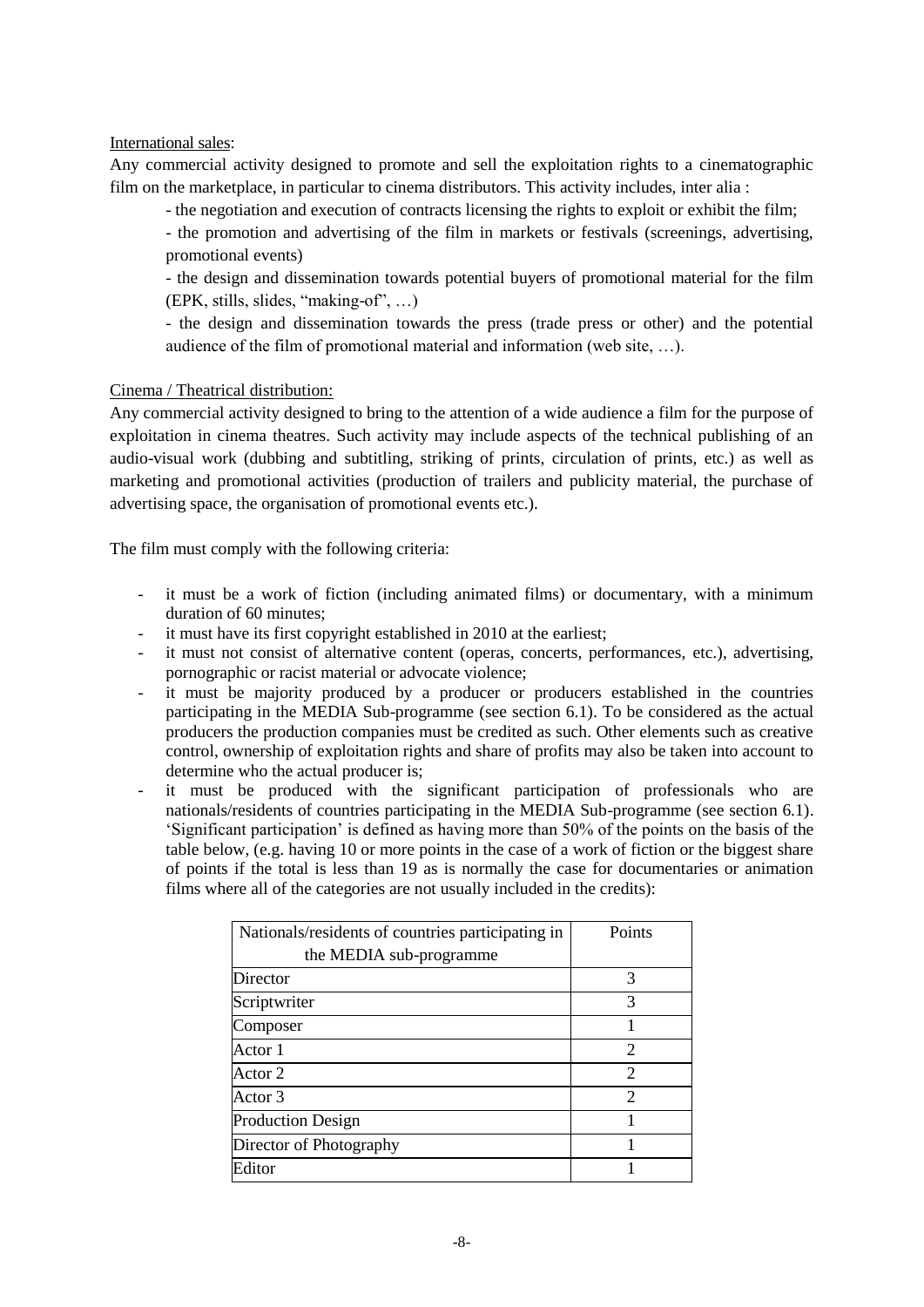#### International sales:

Any commercial activity designed to promote and sell the exploitation rights to a cinematographic film on the marketplace, in particular to cinema distributors. This activity includes, inter alia :

- the negotiation and execution of contracts licensing the rights to exploit or exhibit the film;

- the promotion and advertising of the film in markets or festivals (screenings, advertising, promotional events)

- the design and dissemination towards potential buyers of promotional material for the film (EPK, stills, slides, "making-of", …)

- the design and dissemination towards the press (trade press or other) and the potential audience of the film of promotional material and information (web site, …).

#### Cinema / Theatrical distribution:

Any commercial activity designed to bring to the attention of a wide audience a film for the purpose of exploitation in cinema theatres. Such activity may include aspects of the technical publishing of an audio-visual work (dubbing and subtitling, striking of prints, circulation of prints, etc.) as well as marketing and promotional activities (production of trailers and publicity material, the purchase of advertising space, the organisation of promotional events etc.).

The film must comply with the following criteria:

- it must be a work of fiction (including animated films) or documentary, with a minimum duration of 60 minutes;
- it must have its first copyright established in 2010 at the earliest;
- it must not consist of alternative content (operas, concerts, performances, etc.), advertising, pornographic or racist material or advocate violence;
- it must be majority produced by a producer or producers established in the countries participating in the MEDIA Sub-programme (see section 6.1). To be considered as the actual producers the production companies must be credited as such. Other elements such as creative control, ownership of exploitation rights and share of profits may also be taken into account to determine who the actual producer is;
- it must be produced with the significant participation of professionals who are nationals/residents of countries participating in the MEDIA Sub-programme (see section 6.1). 'Significant participation' is defined as having more than 50% of the points on the basis of the table below, (e.g. having 10 or more points in the case of a work of fiction or the biggest share of points if the total is less than 19 as is normally the case for documentaries or animation films where all of the categories are not usually included in the credits):

| Nationals/residents of countries participating in | Points                      |
|---------------------------------------------------|-----------------------------|
| the MEDIA sub-programme                           |                             |
| Director                                          | 3                           |
| Scriptwriter                                      | 3                           |
| Composer                                          |                             |
| Actor 1                                           | $\mathcal{D}_{\cdot}$       |
| Actor 2                                           | $\mathcal{D}_{\mathcal{A}}$ |
| Actor 3                                           | $\mathcal{D}_{\mathcal{A}}$ |
| <b>Production Design</b>                          |                             |
| Director of Photography                           |                             |
| Editor                                            |                             |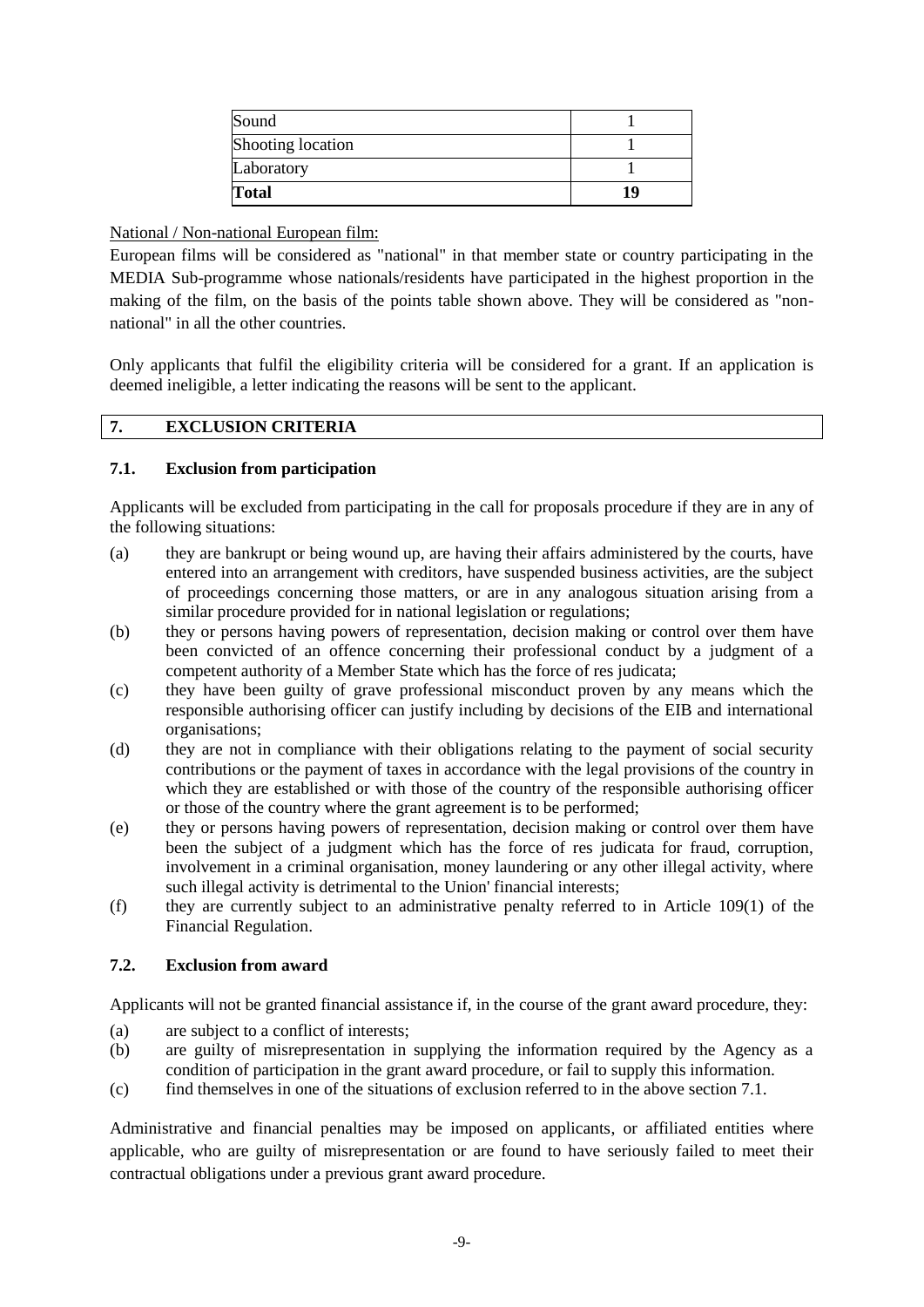| Sound             |    |
|-------------------|----|
| Shooting location |    |
| Laboratory        |    |
| <b>Total</b>      | 19 |

# National / Non-national European film:

European films will be considered as "national" in that member state or country participating in the MEDIA Sub-programme whose nationals/residents have participated in the highest proportion in the making of the film, on the basis of the points table shown above. They will be considered as "nonnational" in all the other countries.

Only applicants that fulfil the eligibility criteria will be considered for a grant. If an application is deemed ineligible, a letter indicating the reasons will be sent to the applicant.

# **7. EXCLUSION CRITERIA**

#### **7.1. Exclusion from participation**

Applicants will be excluded from participating in the call for proposals procedure if they are in any of the following situations:

- (a) they are bankrupt or being wound up, are having their affairs administered by the courts, have entered into an arrangement with creditors, have suspended business activities, are the subject of proceedings concerning those matters, or are in any analogous situation arising from a similar procedure provided for in national legislation or regulations;
- (b) they or persons having powers of representation, decision making or control over them have been convicted of an offence concerning their professional conduct by a judgment of a competent authority of a Member State which has the force of res judicata;
- (c) they have been guilty of grave professional misconduct proven by any means which the responsible authorising officer can justify including by decisions of the EIB and international organisations;
- (d) they are not in compliance with their obligations relating to the payment of social security contributions or the payment of taxes in accordance with the legal provisions of the country in which they are established or with those of the country of the responsible authorising officer or those of the country where the grant agreement is to be performed;
- (e) they or persons having powers of representation, decision making or control over them have been the subject of a judgment which has the force of res judicata for fraud, corruption, involvement in a criminal organisation, money laundering or any other illegal activity, where such illegal activity is detrimental to the Union' financial interests;
- (f) they are currently subject to an administrative penalty referred to in Article 109(1) of the Financial Regulation.

#### **7.2. Exclusion from award**

Applicants will not be granted financial assistance if, in the course of the grant award procedure, they:

- (a) are subject to a conflict of interests;
- (b) are guilty of misrepresentation in supplying the information required by the Agency as a condition of participation in the grant award procedure, or fail to supply this information.
- (c) find themselves in one of the situations of exclusion referred to in the above section 7.1.

Administrative and financial penalties may be imposed on applicants, or affiliated entities where applicable, who are guilty of misrepresentation or are found to have seriously failed to meet their contractual obligations under a previous grant award procedure.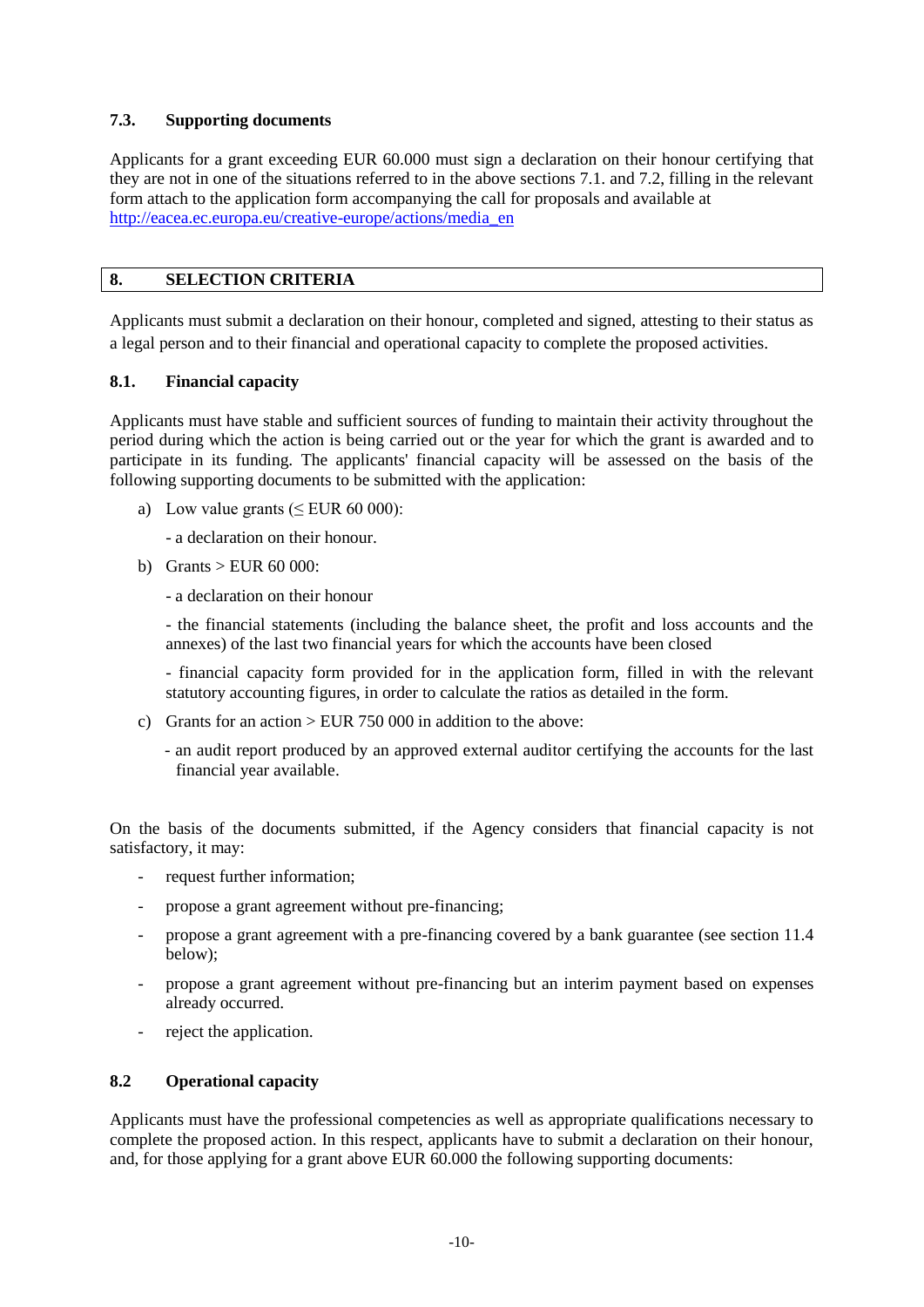#### **7.3. Supporting documents**

Applicants for a grant exceeding EUR 60.000 must sign a declaration on their honour certifying that they are not in one of the situations referred to in the above sections 7.1. and 7.2, filling in the relevant form attach to the application form accompanying the call for proposals and available at [http://eacea.ec.europa.eu/creative-europe/actions/media\\_en](http://eacea.ec.europa.eu/creative-europe/actions/media_en)

#### **8. SELECTION CRITERIA**

Applicants must submit a declaration on their honour, completed and signed, attesting to their status as a legal person and to their financial and operational capacity to complete the proposed activities.

#### **8.1. Financial capacity**

Applicants must have stable and sufficient sources of funding to maintain their activity throughout the period during which the action is being carried out or the year for which the grant is awarded and to participate in its funding. The applicants' financial capacity will be assessed on the basis of the following supporting documents to be submitted with the application:

- a) Low value grants ( $\leq$  EUR 60 000):
	- a declaration on their honour.
- b) Grants  $>$  EUR 60 000:
	- a declaration on their honour

- the financial statements (including the balance sheet, the profit and loss accounts and the annexes) of the last two financial years for which the accounts have been closed

- financial capacity form provided for in the application form, filled in with the relevant statutory accounting figures, in order to calculate the ratios as detailed in the form.

- c) Grants for an action > EUR 750 000 in addition to the above:
	- an audit report produced by an approved external auditor certifying the accounts for the last financial year available.

On the basis of the documents submitted, if the Agency considers that financial capacity is not satisfactory, it may:

- request further information:
- propose a grant agreement without pre-financing;
- propose a grant agreement with a pre-financing covered by a bank guarantee (see section 11.4 below);
- propose a grant agreement without pre-financing but an interim payment based on expenses already occurred.
- reject the application.

# **8.2 Operational capacity**

Applicants must have the professional competencies as well as appropriate qualifications necessary to complete the proposed action. In this respect, applicants have to submit a declaration on their honour, and, for those applying for a grant above EUR 60.000 the following supporting documents: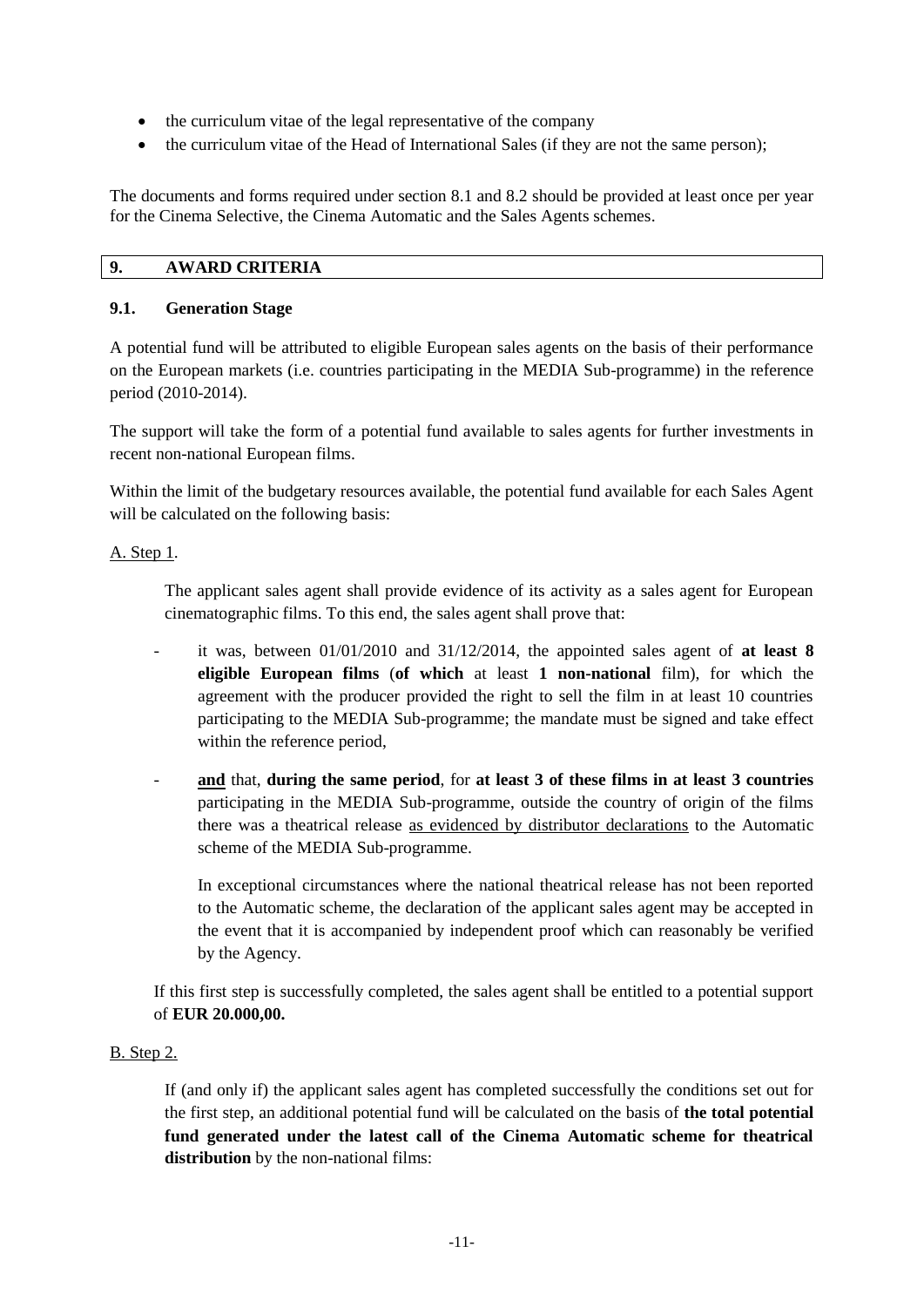- the curriculum vitae of the legal representative of the company
- the curriculum vitae of the Head of International Sales (if they are not the same person);

The documents and forms required under section 8.1 and 8.2 should be provided at least once per year for the Cinema Selective, the Cinema Automatic and the Sales Agents schemes.

# **9. AWARD CRITERIA**

#### **9.1. Generation Stage**

A potential fund will be attributed to eligible European sales agents on the basis of their performance on the European markets (i.e. countries participating in the MEDIA Sub-programme) in the reference period (2010-2014).

The support will take the form of a potential fund available to sales agents for further investments in recent non-national European films.

Within the limit of the budgetary resources available, the potential fund available for each Sales Agent will be calculated on the following basis:

#### A. Step 1.

The applicant sales agent shall provide evidence of its activity as a sales agent for European cinematographic films. To this end, the sales agent shall prove that:

- it was, between  $01/01/2010$  and  $31/12/2014$ , the appointed sales agent of **at least 8 eligible European films** (**of which** at least **1 non-national** film), for which the agreement with the producer provided the right to sell the film in at least 10 countries participating to the MEDIA Sub-programme; the mandate must be signed and take effect within the reference period,
- **and** that, **during the same period**, for **at least 3 of these films in at least 3 countries**  participating in the MEDIA Sub-programme, outside the country of origin of the films there was a theatrical release as evidenced by distributor declarations to the Automatic scheme of the MEDIA Sub-programme.

In exceptional circumstances where the national theatrical release has not been reported to the Automatic scheme, the declaration of the applicant sales agent may be accepted in the event that it is accompanied by independent proof which can reasonably be verified by the Agency.

If this first step is successfully completed, the sales agent shall be entitled to a potential support of **EUR 20.000,00.**

#### B. Step 2.

If (and only if) the applicant sales agent has completed successfully the conditions set out for the first step, an additional potential fund will be calculated on the basis of **the total potential fund generated under the latest call of the Cinema Automatic scheme for theatrical distribution** by the non-national films: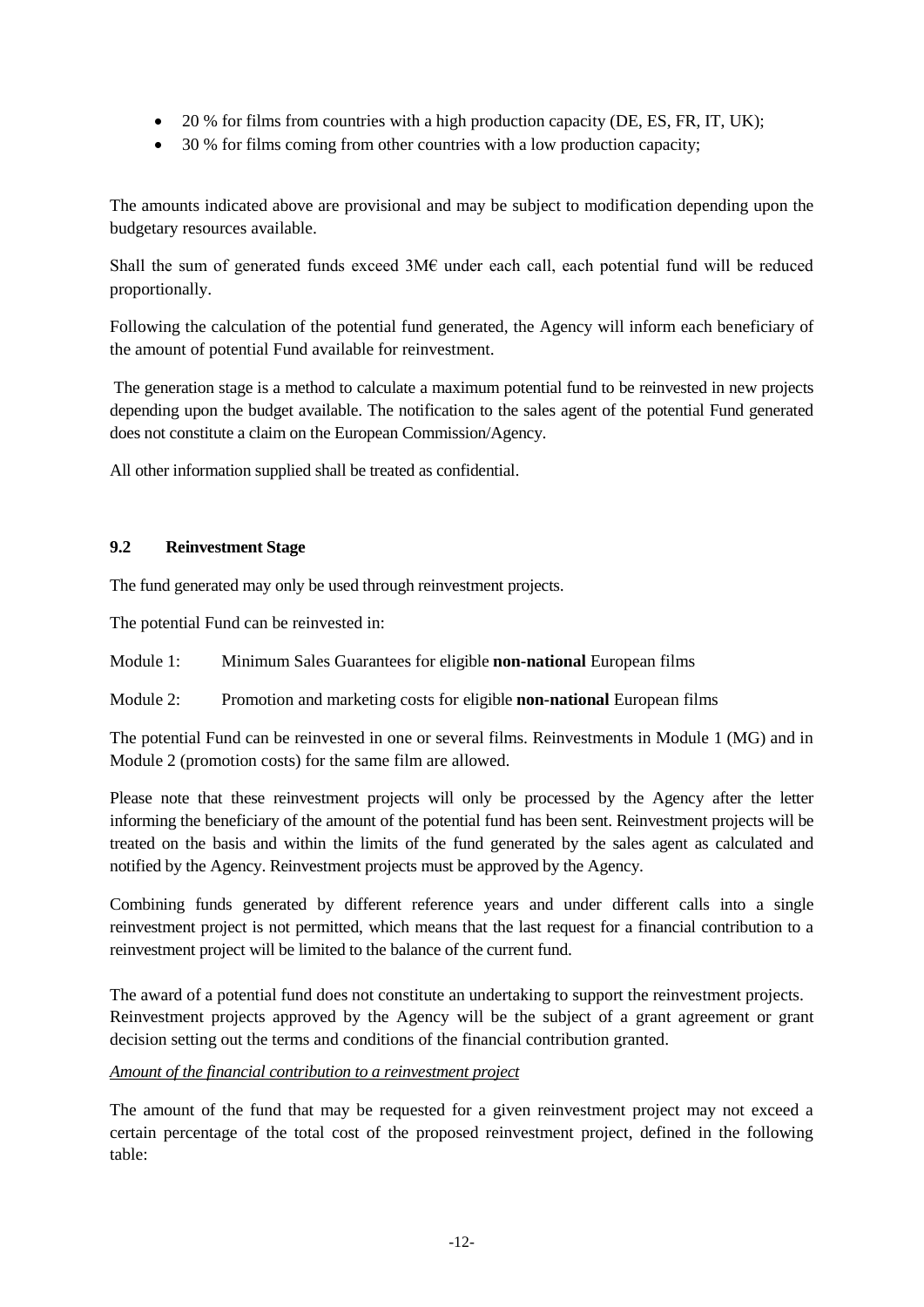- 20 % for films from countries with a high production capacity (DE, ES, FR, IT, UK);
- 30 % for films coming from other countries with a low production capacity;

The amounts indicated above are provisional and may be subject to modification depending upon the budgetary resources available.

Shall the sum of generated funds exceed  $3M\epsilon$  under each call, each potential fund will be reduced proportionally.

Following the calculation of the potential fund generated, the Agency will inform each beneficiary of the amount of potential Fund available for reinvestment.

The generation stage is a method to calculate a maximum potential fund to be reinvested in new projects depending upon the budget available. The notification to the sales agent of the potential Fund generated does not constitute a claim on the European Commission/Agency.

All other information supplied shall be treated as confidential.

# **9.2 Reinvestment Stage**

The fund generated may only be used through reinvestment projects.

The potential Fund can be reinvested in:

Module 1: Minimum Sales Guarantees for eligible **non-national** European films

Module 2: Promotion and marketing costs for eligible **non-national** European films

The potential Fund can be reinvested in one or several films. Reinvestments in Module 1 (MG) and in Module 2 (promotion costs) for the same film are allowed.

Please note that these reinvestment projects will only be processed by the Agency after the letter informing the beneficiary of the amount of the potential fund has been sent. Reinvestment projects will be treated on the basis and within the limits of the fund generated by the sales agent as calculated and notified by the Agency. Reinvestment projects must be approved by the Agency.

Combining funds generated by different reference years and under different calls into a single reinvestment project is not permitted, which means that the last request for a financial contribution to a reinvestment project will be limited to the balance of the current fund.

The award of a potential fund does not constitute an undertaking to support the reinvestment projects. Reinvestment projects approved by the Agency will be the subject of a grant agreement or grant decision setting out the terms and conditions of the financial contribution granted.

#### *Amount of the financial contribution to a reinvestment project*

The amount of the fund that may be requested for a given reinvestment project may not exceed a certain percentage of the total cost of the proposed reinvestment project, defined in the following table: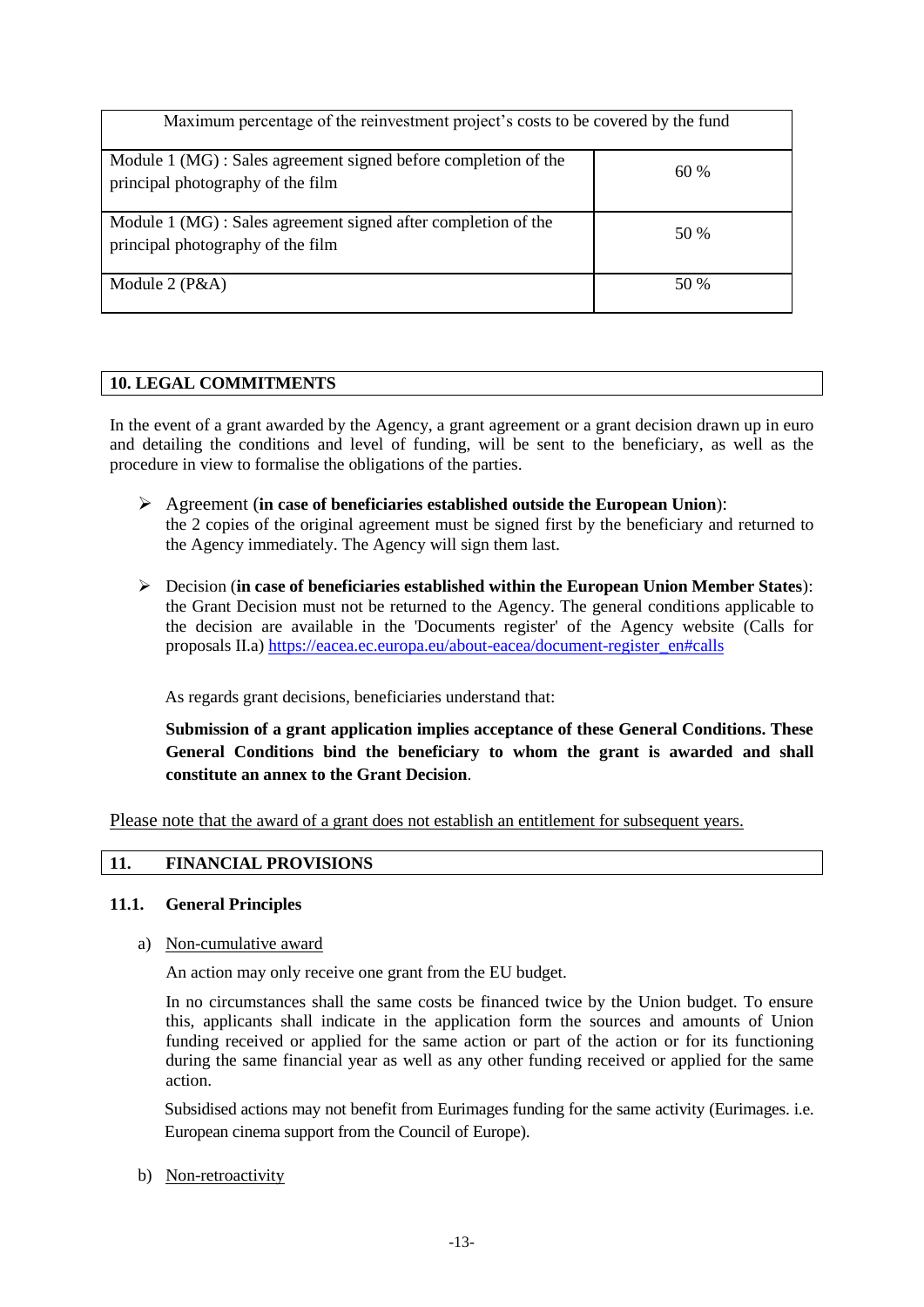| Maximum percentage of the reinvestment project's costs to be covered by the fund                     |      |  |  |
|------------------------------------------------------------------------------------------------------|------|--|--|
| Module 1 (MG) : Sales agreement signed before completion of the<br>principal photography of the film | 60%  |  |  |
| Module 1 (MG) : Sales agreement signed after completion of the<br>principal photography of the film  | 50 % |  |  |
| Module $2(P&A)$                                                                                      | 50 % |  |  |

# **10. LEGAL COMMITMENTS**

In the event of a grant awarded by the Agency, a grant agreement or a grant decision drawn up in euro and detailing the conditions and level of funding, will be sent to the beneficiary, as well as the procedure in view to formalise the obligations of the parties.

- Agreement (**in case of beneficiaries established outside the European Union**): the 2 copies of the original agreement must be signed first by the beneficiary and returned to the Agency immediately. The Agency will sign them last.
- Decision (**in case of beneficiaries established within the European Union Member States**): the Grant Decision must not be returned to the Agency. The general conditions applicable to the decision are available in the 'Documents register' of the Agency website (Calls for proposals II.a) [https://eacea.ec.europa.eu/about-eacea/document-register\\_en#calls](https://eacea.ec.europa.eu/about-eacea/document-register_en#calls)

As regards grant decisions, beneficiaries understand that:

**Submission of a grant application implies acceptance of these General Conditions. These General Conditions bind the beneficiary to whom the grant is awarded and shall constitute an annex to the Grant Decision**.

Please note that the award of a grant does not establish an entitlement for subsequent years.

# **11. FINANCIAL PROVISIONS**

#### **11.1. General Principles**

a) Non-cumulative award

An action may only receive one grant from the EU budget.

In no circumstances shall the same costs be financed twice by the Union budget. To ensure this, applicants shall indicate in the application form the sources and amounts of Union funding received or applied for the same action or part of the action or for its functioning during the same financial year as well as any other funding received or applied for the same action.

Subsidised actions may not benefit from Eurimages funding for the same activity (Eurimages. i.e. European cinema support from the Council of Europe).

b) Non-retroactivity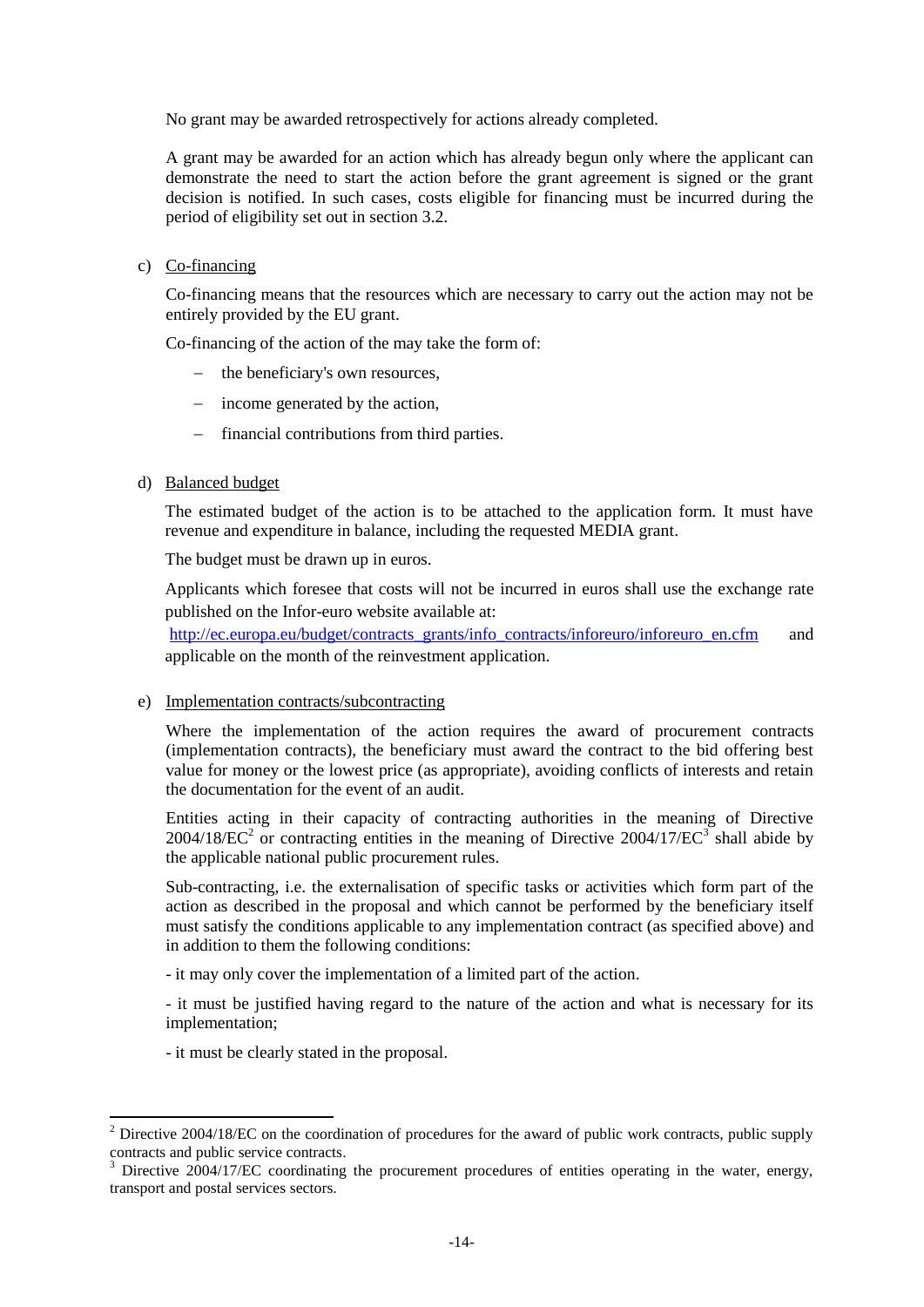No grant may be awarded retrospectively for actions already completed.

A grant may be awarded for an action which has already begun only where the applicant can demonstrate the need to start the action before the grant agreement is signed or the grant decision is notified. In such cases, costs eligible for financing must be incurred during the period of eligibility set out in section 3.2.

c) Co-financing

Co-financing means that the resources which are necessary to carry out the action may not be entirely provided by the EU grant.

Co-financing of the action of the may take the form of:

- the beneficiary's own resources,
- income generated by the action.
- financial contributions from third parties.
- d) Balanced budget

The estimated budget of the action is to be attached to the application form. It must have revenue and expenditure in balance, including the requested MEDIA grant.

The budget must be drawn up in euros.

Applicants which foresee that costs will not be incurred in euros shall use the exchange rate published on the Infor-euro website available at:

[http://ec.europa.eu/budget/contracts\\_grants/info\\_contracts/inforeuro/inforeuro\\_en.cfm](http://ec.europa.eu/budget/contracts_grants/info_contracts/inforeuro/inforeuro_en.cfm) and applicable on the month of the reinvestment application.

e) Implementation contracts/subcontracting

Where the implementation of the action requires the award of procurement contracts (implementation contracts), the beneficiary must award the contract to the bid offering best value for money or the lowest price (as appropriate), avoiding conflicts of interests and retain the documentation for the event of an audit.

Entities acting in their capacity of contracting authorities in the meaning of Directive  $2004/18/EC^2$  or contracting entities in the meaning of Directive  $2004/17/EC^3$  shall abide by the applicable national public procurement rules.

Sub-contracting, i.e. the externalisation of specific tasks or activities which form part of the action as described in the proposal and which cannot be performed by the beneficiary itself must satisfy the conditions applicable to any implementation contract (as specified above) and in addition to them the following conditions:

- it may only cover the implementation of a limited part of the action.

- it must be justified having regard to the nature of the action and what is necessary for its implementation;

- it must be clearly stated in the proposal.

**<sup>.</sup>** <sup>2</sup> Directive 2004/18/EC on the coordination of procedures for the award of public work contracts, public supply contracts and public service contracts.

Directive 2004/17/EC coordinating the procurement procedures of entities operating in the water, energy, transport and postal services sectors.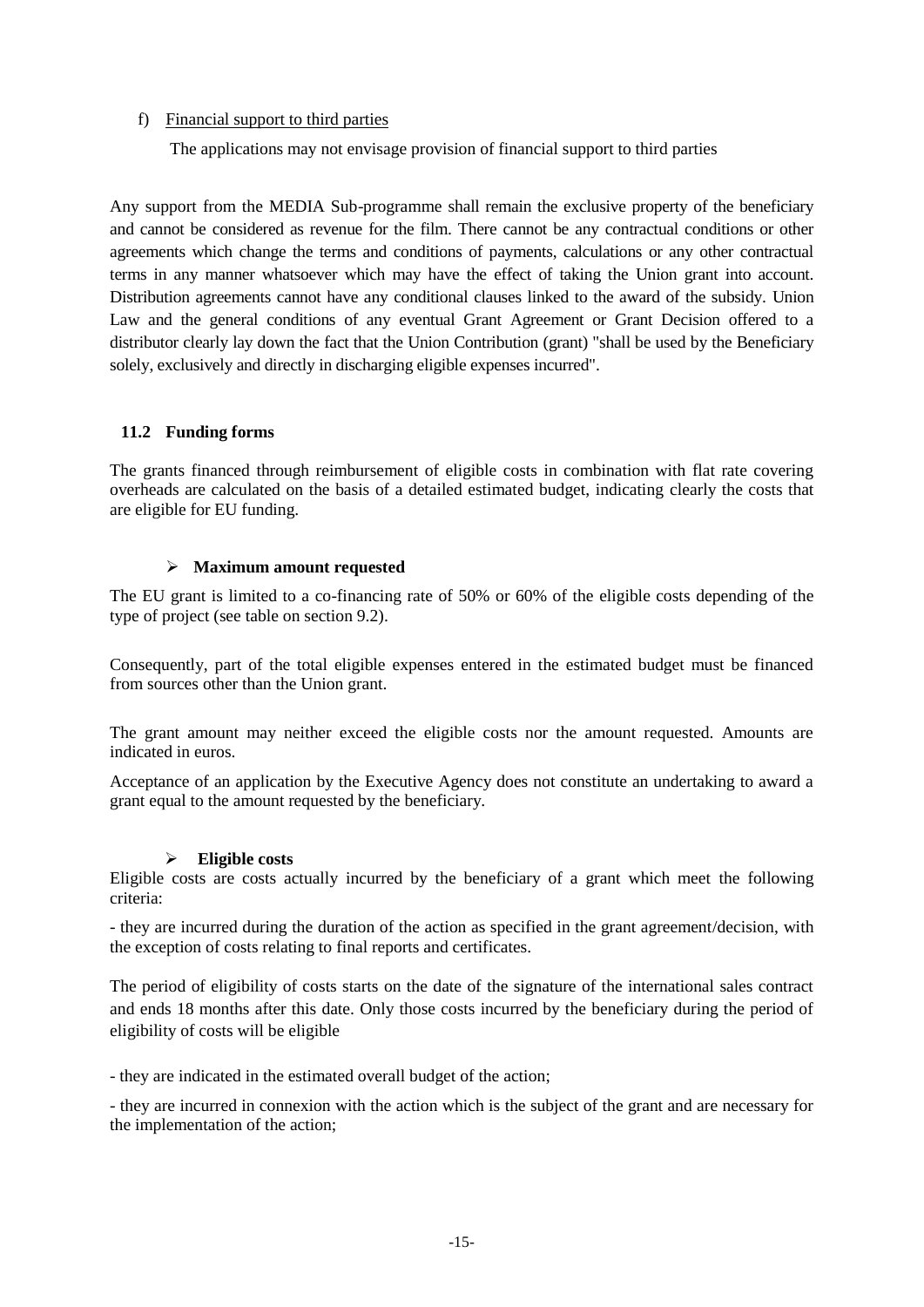#### f) Financial support to third parties

The applications may not envisage provision of financial support to third parties

Any support from the MEDIA Sub-programme shall remain the exclusive property of the beneficiary and cannot be considered as revenue for the film. There cannot be any contractual conditions or other agreements which change the terms and conditions of payments, calculations or any other contractual terms in any manner whatsoever which may have the effect of taking the Union grant into account. Distribution agreements cannot have any conditional clauses linked to the award of the subsidy. Union Law and the general conditions of any eventual Grant Agreement or Grant Decision offered to a distributor clearly lay down the fact that the Union Contribution (grant) "shall be used by the Beneficiary solely, exclusively and directly in discharging eligible expenses incurred".

#### **11.2 Funding forms**

The grants financed through reimbursement of eligible costs in combination with flat rate covering overheads are calculated on the basis of a detailed estimated budget, indicating clearly the costs that are eligible for EU funding.

#### **Maximum amount requested**

The EU grant is limited to a co-financing rate of 50% or 60% of the eligible costs depending of the type of project (see table on section 9.2).

Consequently, part of the total eligible expenses entered in the estimated budget must be financed from sources other than the Union grant.

The grant amount may neither exceed the eligible costs nor the amount requested. Amounts are indicated in euros.

Acceptance of an application by the Executive Agency does not constitute an undertaking to award a grant equal to the amount requested by the beneficiary.

#### **Eligible costs**

Eligible costs are costs actually incurred by the beneficiary of a grant which meet the following criteria:

- they are incurred during the duration of the action as specified in the grant agreement/decision, with the exception of costs relating to final reports and certificates.

The period of eligibility of costs starts on the date of the signature of the international sales contract and ends 18 months after this date. Only those costs incurred by the beneficiary during the period of eligibility of costs will be eligible

- they are indicated in the estimated overall budget of the action;

- they are incurred in connexion with the action which is the subject of the grant and are necessary for the implementation of the action;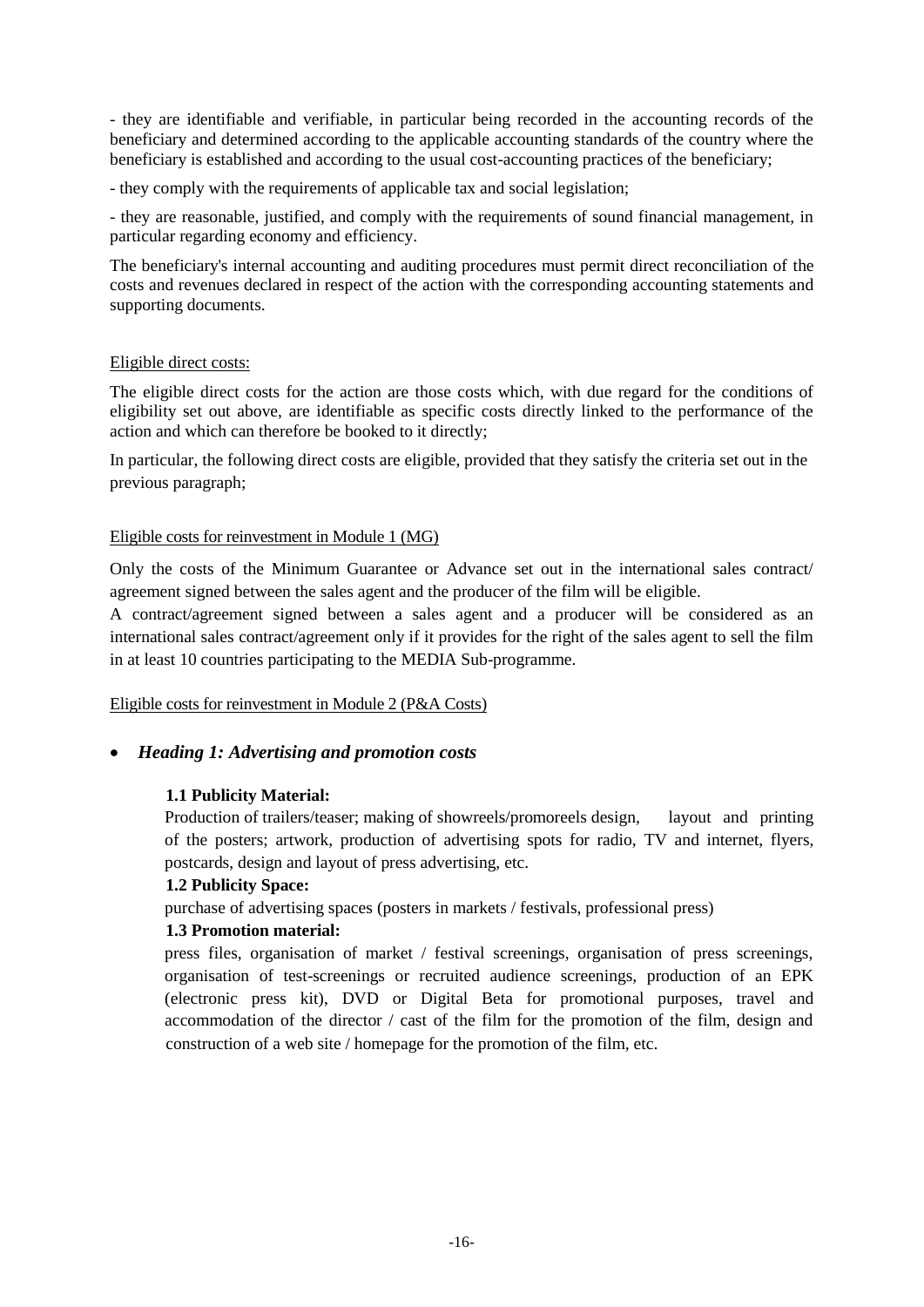- they are identifiable and verifiable, in particular being recorded in the accounting records of the beneficiary and determined according to the applicable accounting standards of the country where the beneficiary is established and according to the usual cost-accounting practices of the beneficiary;

- they comply with the requirements of applicable tax and social legislation;

- they are reasonable, justified, and comply with the requirements of sound financial management, in particular regarding economy and efficiency.

The beneficiary's internal accounting and auditing procedures must permit direct reconciliation of the costs and revenues declared in respect of the action with the corresponding accounting statements and supporting documents.

#### Eligible direct costs:

The eligible direct costs for the action are those costs which, with due regard for the conditions of eligibility set out above, are identifiable as specific costs directly linked to the performance of the action and which can therefore be booked to it directly;

In particular, the following direct costs are eligible, provided that they satisfy the criteria set out in the previous paragraph;

#### Eligible costs for reinvestment in Module 1 (MG)

Only the costs of the Minimum Guarantee or Advance set out in the international sales contract/ agreement signed between the sales agent and the producer of the film will be eligible.

A contract/agreement signed between a sales agent and a producer will be considered as an international sales contract/agreement only if it provides for the right of the sales agent to sell the film in at least 10 countries participating to the MEDIA Sub-programme.

Eligible costs for reinvestment in Module 2 (P&A Costs)

# *Heading 1: Advertising and promotion costs*

# **1.1 Publicity Material:**

Production of trailers/teaser; making of showreels/promoreels design, layout and printing of the posters; artwork, production of advertising spots for radio, TV and internet, flyers, postcards, design and layout of press advertising, etc.

# **1.2 Publicity Space:**

purchase of advertising spaces (posters in markets / festivals, professional press)

# **1.3 Promotion material:**

press files, organisation of market / festival screenings, organisation of press screenings, organisation of test-screenings or recruited audience screenings, production of an EPK (electronic press kit), DVD or Digital Beta for promotional purposes, travel and accommodation of the director / cast of the film for the promotion of the film, design and construction of a web site / homepage for the promotion of the film, etc.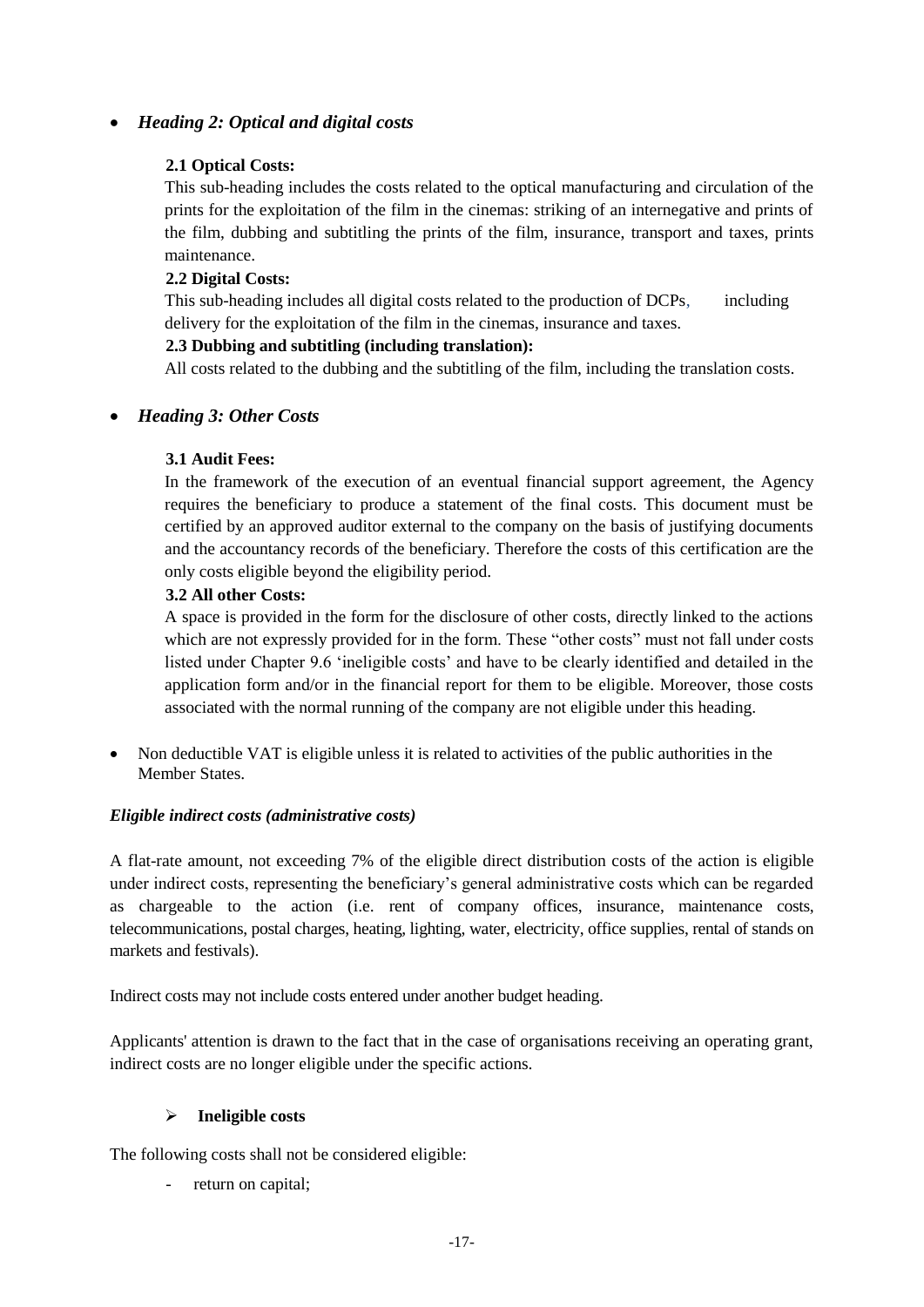# *Heading 2: Optical and digital costs*

# **2.1 Optical Costs:**

This sub-heading includes the costs related to the optical manufacturing and circulation of the prints for the exploitation of the film in the cinemas: striking of an internegative and prints of the film, dubbing and subtitling the prints of the film, insurance, transport and taxes, prints maintenance.

# **2.2 Digital Costs:**

This sub-heading includes all digital costs related to the production of DCPs, including delivery for the exploitation of the film in the cinemas, insurance and taxes.

# **2.3 Dubbing and subtitling (including translation):**

All costs related to the dubbing and the subtitling of the film, including the translation costs.

# *Heading 3: Other Costs*

# **3.1 Audit Fees:**

In the framework of the execution of an eventual financial support agreement, the Agency requires the beneficiary to produce a statement of the final costs. This document must be certified by an approved auditor external to the company on the basis of justifying documents and the accountancy records of the beneficiary. Therefore the costs of this certification are the only costs eligible beyond the eligibility period.

# **3.2 All other Costs:**

A space is provided in the form for the disclosure of other costs, directly linked to the actions which are not expressly provided for in the form. These "other costs" must not fall under costs listed under Chapter 9.6 'ineligible costs' and have to be clearly identified and detailed in the application form and/or in the financial report for them to be eligible. Moreover, those costs associated with the normal running of the company are not eligible under this heading.

 Non deductible VAT is eligible unless it is related to activities of the public authorities in the Member States.

# *Eligible indirect costs (administrative costs)*

A flat-rate amount, not exceeding 7% of the eligible direct distribution costs of the action is eligible under indirect costs, representing the beneficiary's general administrative costs which can be regarded as chargeable to the action (i.e. rent of company offices, insurance, maintenance costs, telecommunications, postal charges, heating, lighting, water, electricity, office supplies, rental of stands on markets and festivals).

Indirect costs may not include costs entered under another budget heading.

Applicants' attention is drawn to the fact that in the case of organisations receiving an operating grant, indirect costs are no longer eligible under the specific actions.

# **Ineligible costs**

The following costs shall not be considered eligible:

return on capital;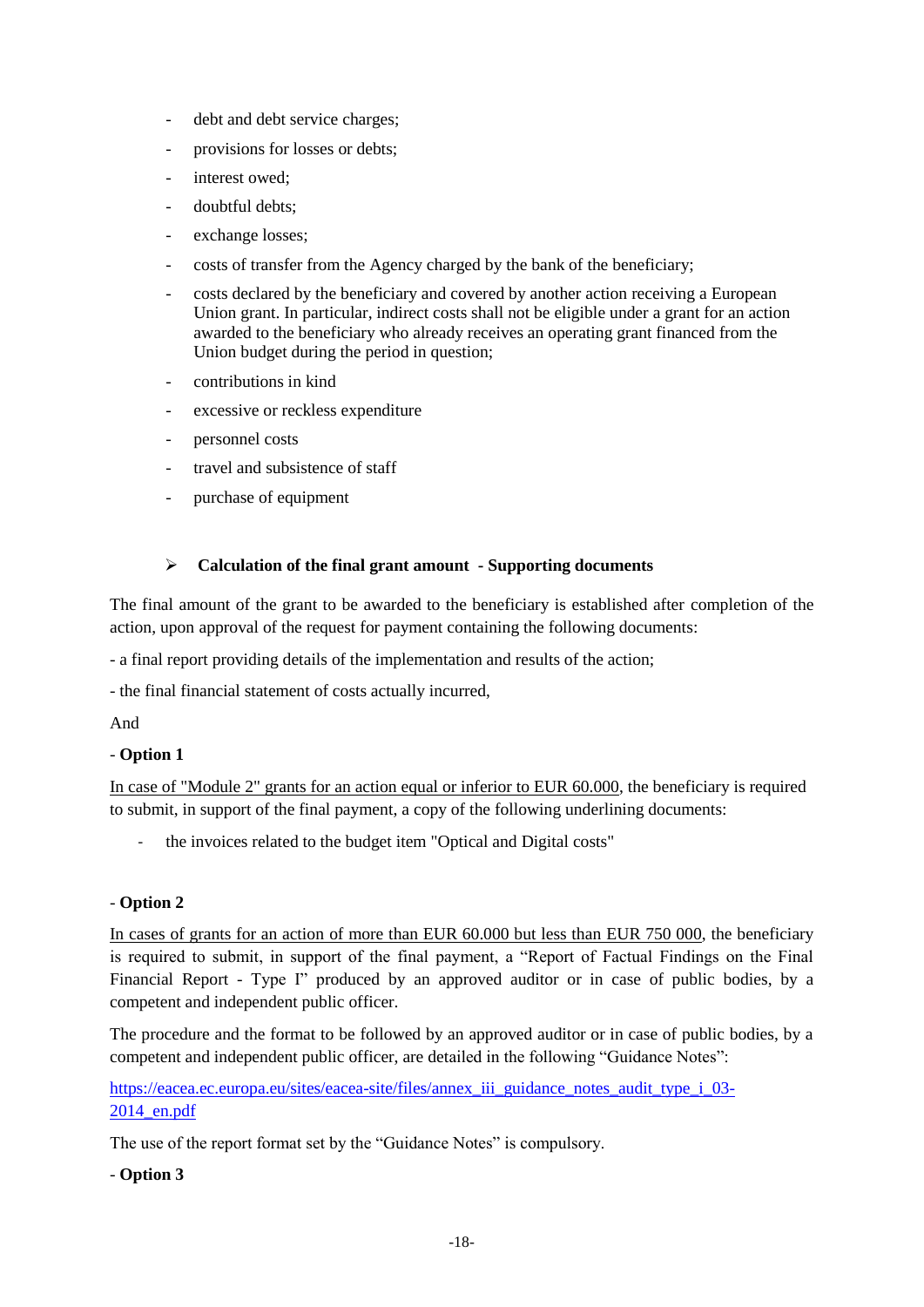- debt and debt service charges;
- provisions for losses or debts;
- interest owed;
- doubtful debts:
- exchange losses:
- costs of transfer from the Agency charged by the bank of the beneficiary;
- costs declared by the beneficiary and covered by another action receiving a European Union grant. In particular, indirect costs shall not be eligible under a grant for an action awarded to the beneficiary who already receives an operating grant financed from the Union budget during the period in question;
- contributions in kind
- excessive or reckless expenditure
- personnel costs
- travel and subsistence of staff
- purchase of equipment

#### **Calculation of the final grant amount - Supporting documents**

The final amount of the grant to be awarded to the beneficiary is established after completion of the action, upon approval of the request for payment containing the following documents:

- a final report providing details of the implementation and results of the action;

- the final financial statement of costs actually incurred,

And

# - **Option 1**

In case of "Module 2" grants for an action equal or inferior to EUR 60.000, the beneficiary is required to submit, in support of the final payment, a copy of the following underlining documents:

the invoices related to the budget item "Optical and Digital costs"

# - **Option 2**

In cases of grants for an action of more than EUR 60.000 but less than EUR 750 000, the beneficiary is required to submit, in support of the final payment, a "Report of Factual Findings on the Final Financial Report - Type I" produced by an approved auditor or in case of public bodies, by a competent and independent public officer.

The procedure and the format to be followed by an approved auditor or in case of public bodies, by a competent and independent public officer, are detailed in the following "Guidance Notes":

[https://eacea.ec.europa.eu/sites/eacea-site/files/annex\\_iii\\_guidance\\_notes\\_audit\\_type\\_i\\_03-](https://eacea.ec.europa.eu/sites/eacea-site/files/annex_iii_guidance_notes_audit_type_i_03-2014_en.pdf) [2014\\_en.pdf](https://eacea.ec.europa.eu/sites/eacea-site/files/annex_iii_guidance_notes_audit_type_i_03-2014_en.pdf)

The use of the report format set by the "Guidance Notes" is compulsory.

# - **Option 3**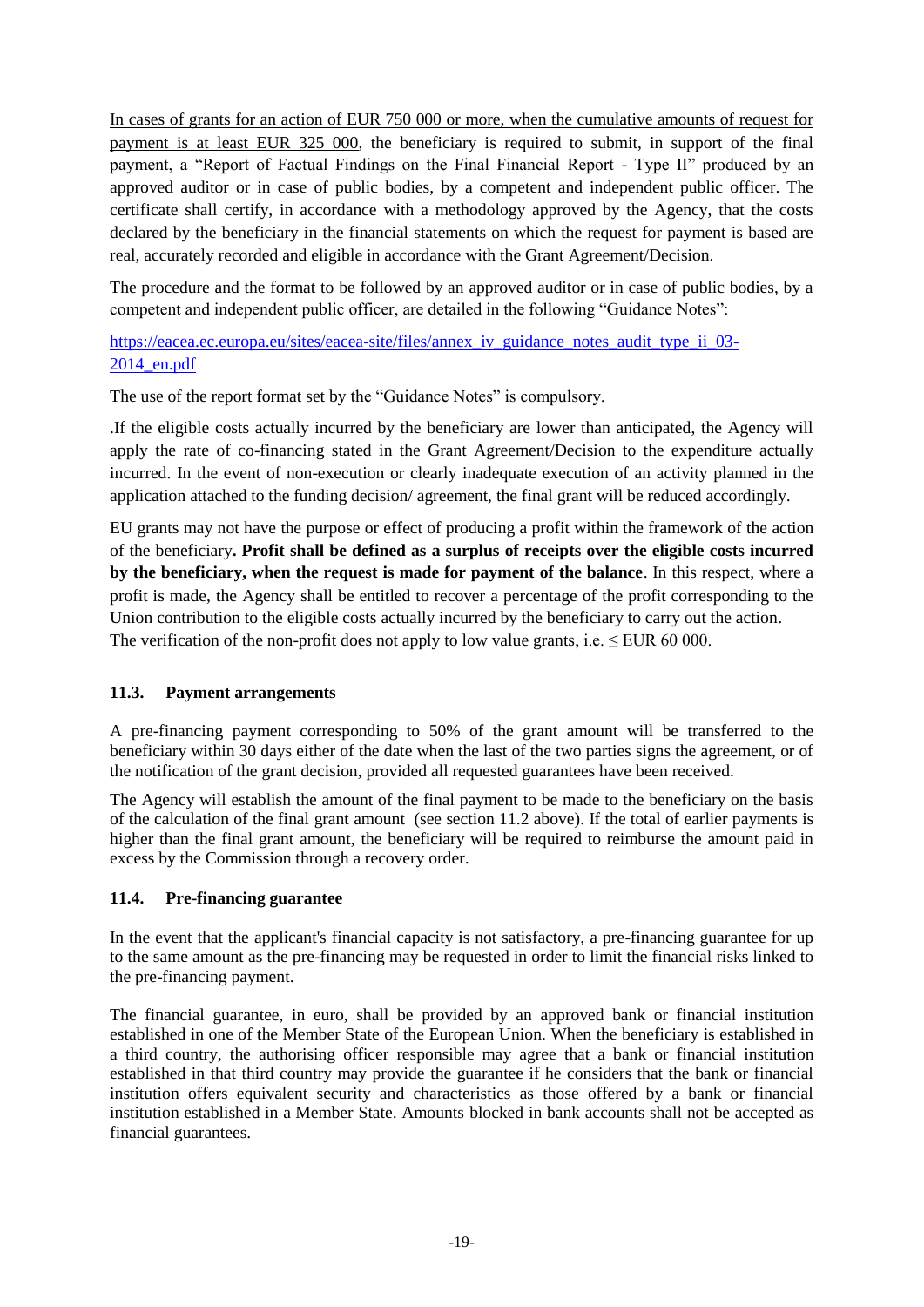In cases of grants for an action of EUR 750 000 or more, when the cumulative amounts of request for payment is at least EUR 325 000, the beneficiary is required to submit, in support of the final payment, a "Report of Factual Findings on the Final Financial Report - Type II" produced by an approved auditor or in case of public bodies, by a competent and independent public officer. The certificate shall certify, in accordance with a methodology approved by the Agency, that the costs declared by the beneficiary in the financial statements on which the request for payment is based are real, accurately recorded and eligible in accordance with the Grant Agreement/Decision.

The procedure and the format to be followed by an approved auditor or in case of public bodies, by a competent and independent public officer, are detailed in the following "Guidance Notes":

[https://eacea.ec.europa.eu/sites/eacea-site/files/annex\\_iv\\_guidance\\_notes\\_audit\\_type\\_ii\\_03-](https://eacea.ec.europa.eu/sites/eacea-site/files/annex_iv_guidance_notes_audit_type_ii_03-2014_en.pdf) [2014\\_en.pdf](https://eacea.ec.europa.eu/sites/eacea-site/files/annex_iv_guidance_notes_audit_type_ii_03-2014_en.pdf)

The use of the report format set by the "Guidance Notes" is compulsory.

.If the eligible costs actually incurred by the beneficiary are lower than anticipated, the Agency will apply the rate of co-financing stated in the Grant Agreement/Decision to the expenditure actually incurred. In the event of non-execution or clearly inadequate execution of an activity planned in the application attached to the funding decision/ agreement, the final grant will be reduced accordingly.

EU grants may not have the purpose or effect of producing a profit within the framework of the action of the beneficiary**. Profit shall be defined as a surplus of receipts over the eligible costs incurred by the beneficiary, when the request is made for payment of the balance**. In this respect, where a profit is made, the Agency shall be entitled to recover a percentage of the profit corresponding to the Union contribution to the eligible costs actually incurred by the beneficiary to carry out the action. The verification of the non-profit does not apply to low value grants, i.e.  $\leq$  EUR 60 000.

# **11.3. Payment arrangements**

A pre-financing payment corresponding to 50% of the grant amount will be transferred to the beneficiary within 30 days either of the date when the last of the two parties signs the agreement, or of the notification of the grant decision, provided all requested guarantees have been received.

The Agency will establish the amount of the final payment to be made to the beneficiary on the basis of the calculation of the final grant amount (see section 11.2 above). If the total of earlier payments is higher than the final grant amount, the beneficiary will be required to reimburse the amount paid in excess by the Commission through a recovery order.

# **11.4. Pre-financing guarantee**

In the event that the applicant's financial capacity is not satisfactory, a pre-financing guarantee for up to the same amount as the pre-financing may be requested in order to limit the financial risks linked to the pre-financing payment.

The financial guarantee, in euro, shall be provided by an approved bank or financial institution established in one of the Member State of the European Union. When the beneficiary is established in a third country, the authorising officer responsible may agree that a bank or financial institution established in that third country may provide the guarantee if he considers that the bank or financial institution offers equivalent security and characteristics as those offered by a bank or financial institution established in a Member State. Amounts blocked in bank accounts shall not be accepted as financial guarantees.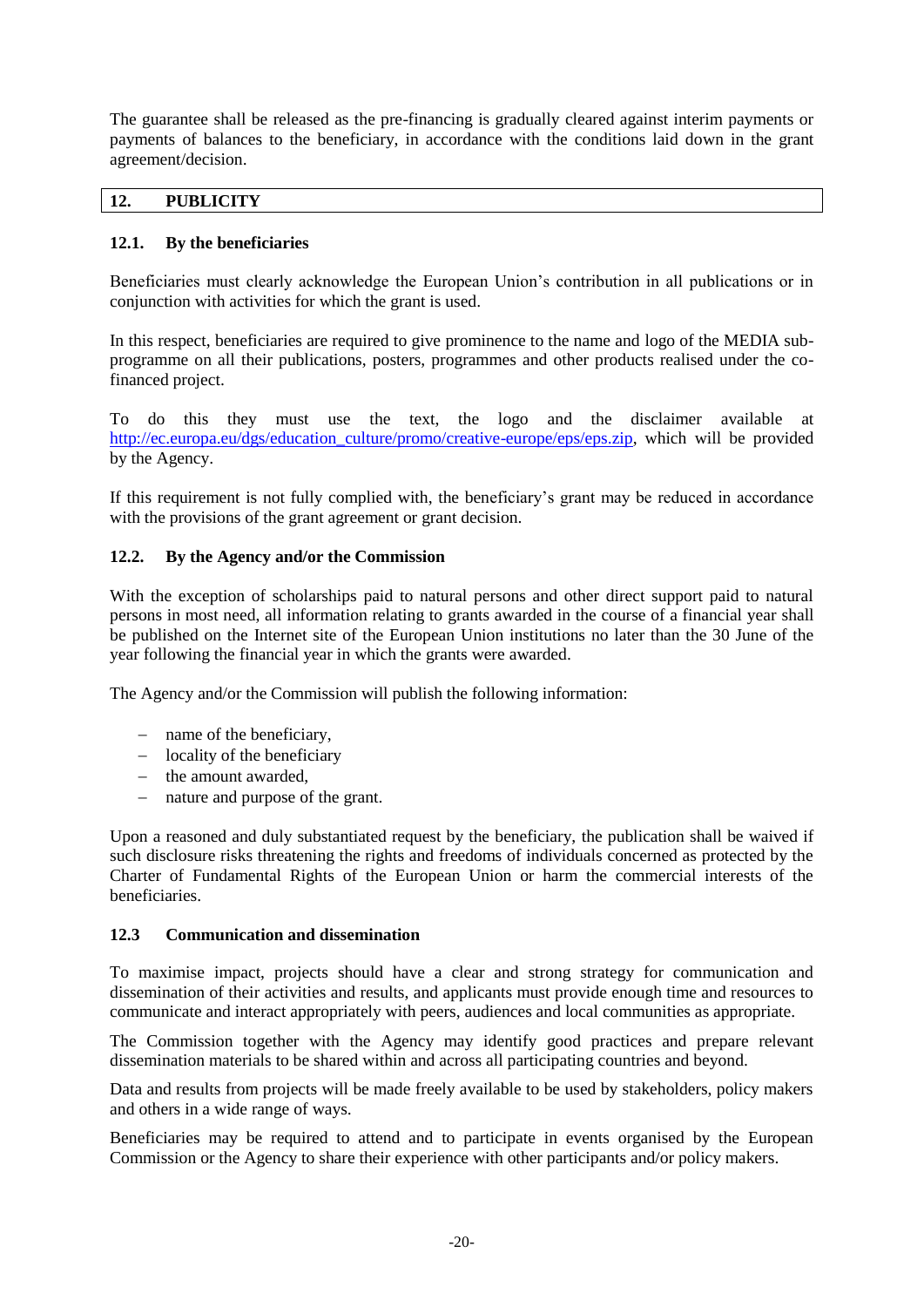The guarantee shall be released as the pre-financing is gradually cleared against interim payments or payments of balances to the beneficiary, in accordance with the conditions laid down in the grant agreement/decision.

# **12. PUBLICITY**

# **12.1. By the beneficiaries**

Beneficiaries must clearly acknowledge the European Union's contribution in all publications or in conjunction with activities for which the grant is used.

In this respect, beneficiaries are required to give prominence to the name and logo of the MEDIA subprogramme on all their publications, posters, programmes and other products realised under the cofinanced project.

To do this they must use the text, the logo and the disclaimer available at [http://ec.europa.eu/dgs/education\\_culture/promo/creative-europe/eps/eps.zip,](http://ec.europa.eu/dgs/education_culture/promo/creative-europe/eps/eps.zip) which will be provided by the Agency.

If this requirement is not fully complied with, the beneficiary's grant may be reduced in accordance with the provisions of the grant agreement or grant decision.

# **12.2. By the Agency and/or the Commission**

With the exception of scholarships paid to natural persons and other direct support paid to natural persons in most need, all information relating to grants awarded in the course of a financial year shall be published on the Internet site of the European Union institutions no later than the 30 June of the year following the financial year in which the grants were awarded.

The Agency and/or the Commission will publish the following information:

- name of the beneficiary,
- $\hbox{--}$  locality of the beneficiary
- the amount awarded,
- nature and purpose of the grant.

Upon a reasoned and duly substantiated request by the beneficiary, the publication shall be waived if such disclosure risks threatening the rights and freedoms of individuals concerned as protected by the Charter of Fundamental Rights of the European Union or harm the commercial interests of the **beneficiaries** 

#### **12.3 Communication and dissemination**

To maximise impact, projects should have a clear and strong strategy for communication and dissemination of their activities and results, and applicants must provide enough time and resources to communicate and interact appropriately with peers, audiences and local communities as appropriate.

The Commission together with the Agency may identify good practices and prepare relevant dissemination materials to be shared within and across all participating countries and beyond.

Data and results from projects will be made freely available to be used by stakeholders, policy makers and others in a wide range of ways.

Beneficiaries may be required to attend and to participate in events organised by the European Commission or the Agency to share their experience with other participants and/or policy makers.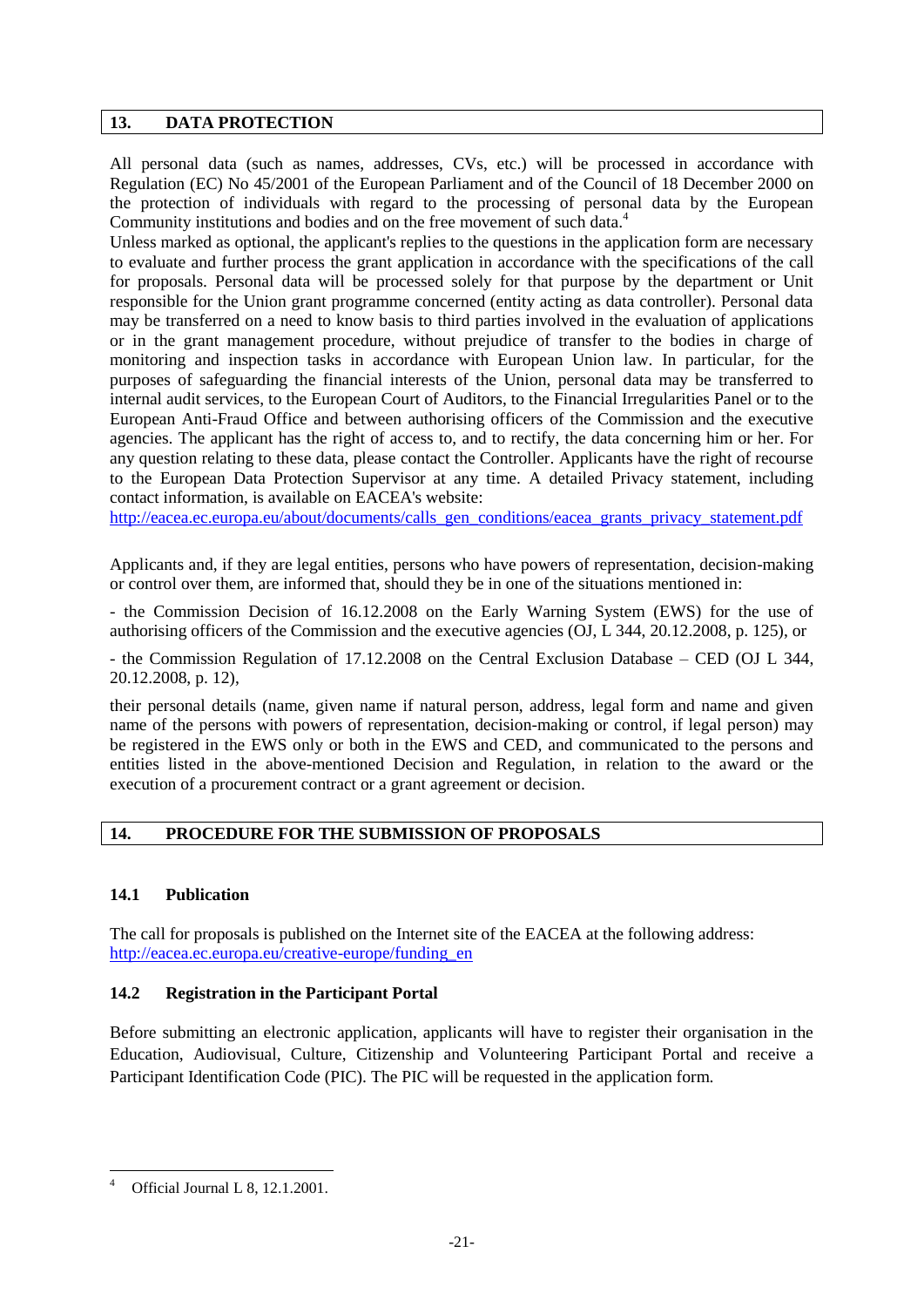#### **13. DATA PROTECTION**

All personal data (such as names, addresses, CVs, etc.) will be processed in accordance with Regulation (EC) No 45/2001 of the European Parliament and of the Council of 18 December 2000 on the protection of individuals with regard to the processing of personal data by the European Community institutions and bodies and on the free movement of such data.<sup>4</sup>

Unless marked as optional, the applicant's replies to the questions in the application form are necessary to evaluate and further process the grant application in accordance with the specifications of the call for proposals. Personal data will be processed solely for that purpose by the department or Unit responsible for the Union grant programme concerned (entity acting as data controller). Personal data may be transferred on a need to know basis to third parties involved in the evaluation of applications or in the grant management procedure, without prejudice of transfer to the bodies in charge of monitoring and inspection tasks in accordance with European Union law. In particular, for the purposes of safeguarding the financial interests of the Union, personal data may be transferred to internal audit services, to the European Court of Auditors, to the Financial Irregularities Panel or to the European Anti-Fraud Office and between authorising officers of the Commission and the executive agencies. The applicant has the right of access to, and to rectify, the data concerning him or her. For any question relating to these data, please contact the Controller. Applicants have the right of recourse to the European Data Protection Supervisor at any time. A detailed Privacy statement, including contact information, is available on EACEA's website:

[http://eacea.ec.europa.eu/about/documents/calls\\_gen\\_conditions/eacea\\_grants\\_privacy\\_statement.pdf](http://eacea.ec.europa.eu/about/documents/calls_gen_conditions/eacea_grants_privacy_statement.pdf)

Applicants and, if they are legal entities, persons who have powers of representation, decision-making or control over them, are informed that, should they be in one of the situations mentioned in:

- the Commission Decision of 16.12.2008 on the Early Warning System (EWS) for the use of authorising officers of the Commission and the executive agencies (OJ, L 344, 20.12.2008, p. 125), or

- the Commission Regulation of 17.12.2008 on the Central Exclusion Database – CED (OJ L 344, 20.12.2008, p. 12),

their personal details (name, given name if natural person, address, legal form and name and given name of the persons with powers of representation, decision-making or control, if legal person) may be registered in the EWS only or both in the EWS and CED, and communicated to the persons and entities listed in the above-mentioned Decision and Regulation, in relation to the award or the execution of a procurement contract or a grant agreement or decision.

#### **14. PROCEDURE FOR THE SUBMISSION OF PROPOSALS**

#### **14.1 Publication**

The call for proposals is published on the Internet site of the EACEA at the following address: [http://eacea.ec.europa.eu/creative-europe/funding\\_en](http://eacea.ec.europa.eu/creative-europe/funding_en)

#### **14.2 Registration in the Participant Portal**

Before submitting an electronic application, applicants will have to register their organisation in the Education, Audiovisual, Culture, Citizenship and Volunteering Participant Portal and receive a Participant Identification Code (PIC). The PIC will be requested in the application form.

**<sup>.</sup>** Official Journal L 8, 12.1.2001.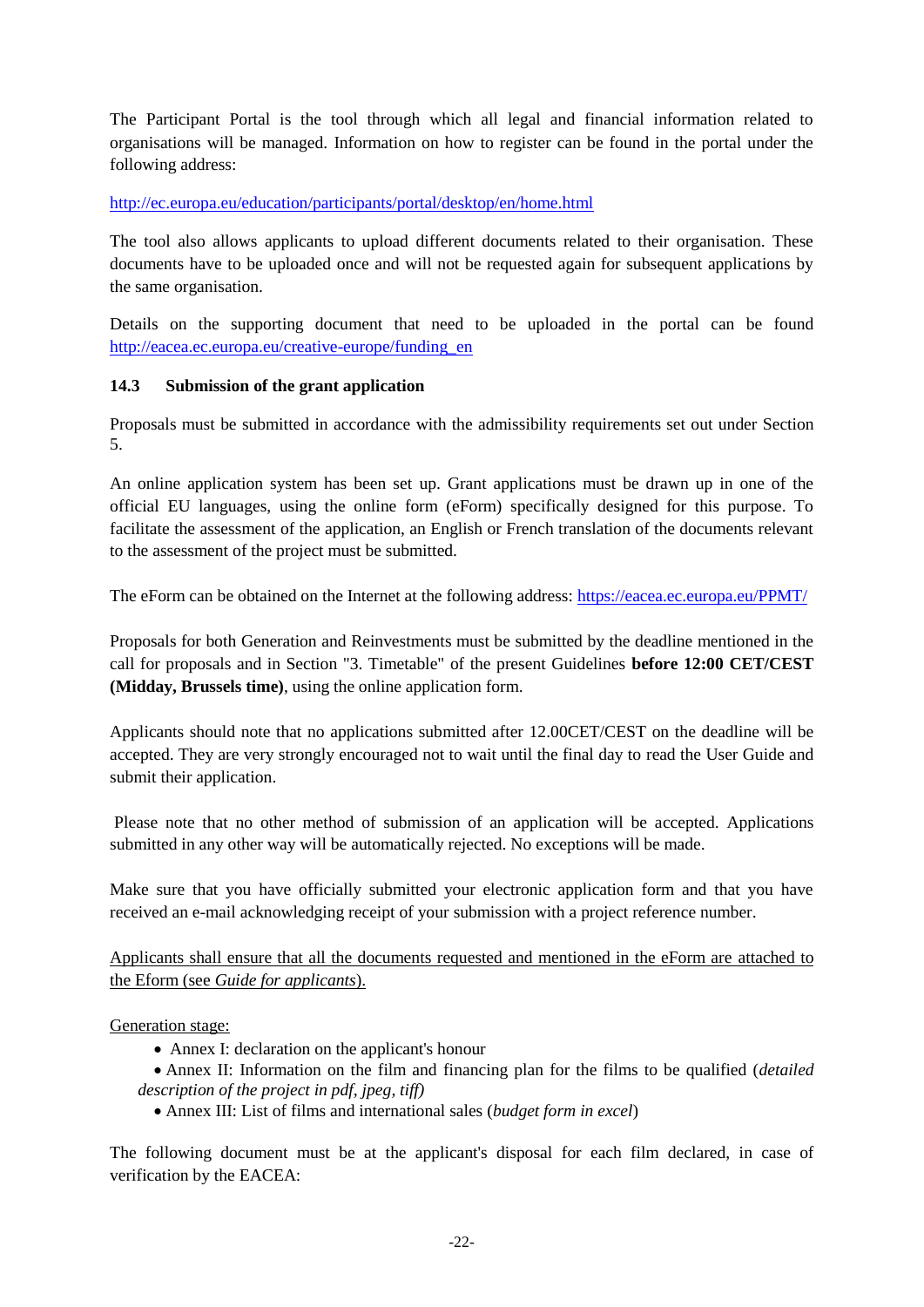The Participant Portal is the tool through which all legal and financial information related to organisations will be managed. Information on how to register can be found in the portal under the following address:

<http://ec.europa.eu/education/participants/portal/desktop/en/home.html>

The tool also allows applicants to upload different documents related to their organisation. These documents have to be uploaded once and will not be requested again for subsequent applications by the same organisation.

Details on the supporting document that need to be uploaded in the portal can be found [http://eacea.ec.europa.eu/creative-europe/funding\\_en](http://eacea.ec.europa.eu/creative-europe/funding_en)

# **14.3 Submission of the grant application**

Proposals must be submitted in accordance with the admissibility requirements set out under Section 5.

An online application system has been set up. Grant applications must be drawn up in one of the official EU languages, using the online form (eForm) specifically designed for this purpose. To facilitate the assessment of the application, an English or French translation of the documents relevant to the assessment of the project must be submitted.

The eForm can be obtained on the Internet at the following address:<https://eacea.ec.europa.eu/PPMT/>

Proposals for both Generation and Reinvestments must be submitted by the deadline mentioned in the call for proposals and in Section "3. Timetable" of the present Guidelines **before 12:00 CET/CEST (Midday, Brussels time)**, using the online application form.

Applicants should note that no applications submitted after 12.00CET/CEST on the deadline will be accepted. They are very strongly encouraged not to wait until the final day to read the User Guide and submit their application.

Please note that no other method of submission of an application will be accepted. Applications submitted in any other way will be automatically rejected. No exceptions will be made.

Make sure that you have officially submitted your electronic application form and that you have received an e-mail acknowledging receipt of your submission with a project reference number.

Applicants shall ensure that all the documents requested and mentioned in the eForm are attached to the Eform (see *Guide for applicants*).

Generation stage:

• Annex I: declaration on the applicant's honour

 Annex II: Information on the film and financing plan for the films to be qualified (*detailed description of the project in pdf, jpeg, tiff)*

Annex III: List of films and international sales (*budget form in excel*)

The following document must be at the applicant's disposal for each film declared, in case of verification by the EACEA: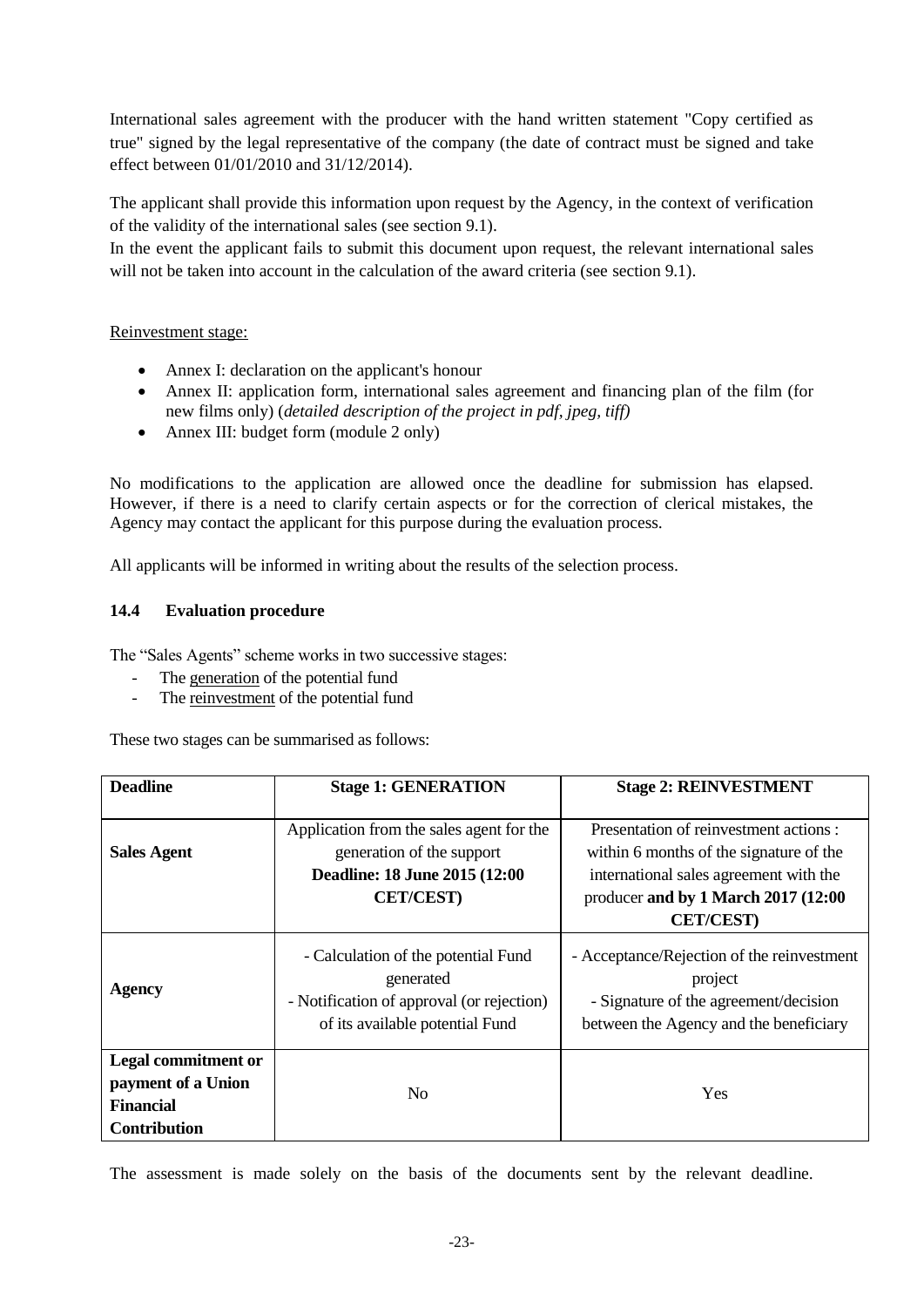International sales agreement with the producer with the hand written statement "Copy certified as true" signed by the legal representative of the company (the date of contract must be signed and take effect between 01/01/2010 and 31/12/2014).

The applicant shall provide this information upon request by the Agency, in the context of verification of the validity of the international sales (see section 9.1).

In the event the applicant fails to submit this document upon request, the relevant international sales will not be taken into account in the calculation of the award criteria (see section 9.1).

# Reinvestment stage:

- Annex I: declaration on the applicant's honour
- Annex II: application form, international sales agreement and financing plan of the film (for new films only) (*detailed description of the project in pdf, jpeg, tiff)*
- Annex III: budget form (module 2 only)

No modifications to the application are allowed once the deadline for submission has elapsed. However, if there is a need to clarify certain aspects or for the correction of clerical mistakes, the Agency may contact the applicant for this purpose during the evaluation process.

All applicants will be informed in writing about the results of the selection process.

# **14.4 Evaluation procedure**

The "Sales Agents" scheme works in two successive stages:

- The generation of the potential fund
- The reinvestment of the potential fund

These two stages can be summarised as follows:

| <b>Deadline</b>                                                                      | <b>Stage 1: GENERATION</b>                                                                                                       | <b>Stage 2: REINVESTMENT</b>                                                                                                                                                           |
|--------------------------------------------------------------------------------------|----------------------------------------------------------------------------------------------------------------------------------|----------------------------------------------------------------------------------------------------------------------------------------------------------------------------------------|
| <b>Sales Agent</b>                                                                   | Application from the sales agent for the<br>generation of the support<br>Deadline: 18 June 2015 (12:00<br><b>CET/CEST)</b>       | Presentation of reinvestment actions :<br>within 6 months of the signature of the<br>international sales agreement with the<br>producer and by 1 March 2017 (12:00<br><b>CET/CEST)</b> |
| Agency                                                                               | - Calculation of the potential Fund<br>generated<br>- Notification of approval (or rejection)<br>of its available potential Fund | - Acceptance/Rejection of the reinvestment<br>project<br>- Signature of the agreement/decision<br>between the Agency and the beneficiary                                               |
| Legal commitment or<br>payment of a Union<br><b>Financial</b><br><b>Contribution</b> | N <sub>0</sub>                                                                                                                   | Yes                                                                                                                                                                                    |

The assessment is made solely on the basis of the documents sent by the relevant deadline.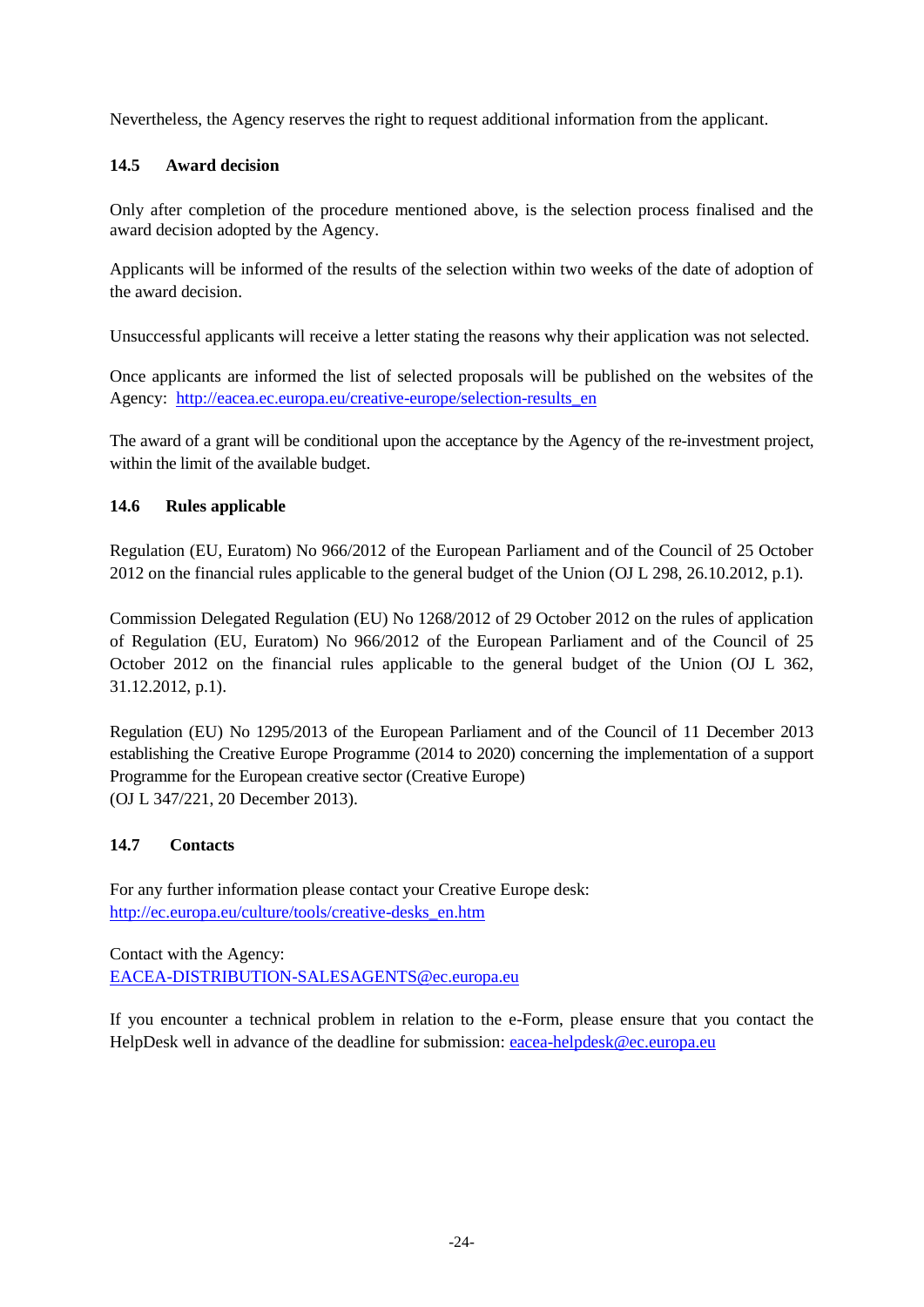Nevertheless, the Agency reserves the right to request additional information from the applicant.

# **14.5 Award decision**

Only after completion of the procedure mentioned above, is the selection process finalised and the award decision adopted by the Agency.

Applicants will be informed of the results of the selection within two weeks of the date of adoption of the award decision.

Unsuccessful applicants will receive a letter stating the reasons why their application was not selected.

Once applicants are informed the list of selected proposals will be published on the websites of the Agency: http://eacea.ec.europa.eu/creative-europe/selection-results en

The award of a grant will be conditional upon the acceptance by the Agency of the re-investment project, within the limit of the available budget.

# **14.6 Rules applicable**

Regulation (EU, Euratom) No 966/2012 of the European Parliament and of the Council of 25 October 2012 on the financial rules applicable to the general budget of the Union (OJ L 298, 26.10.2012, p.1).

Commission Delegated Regulation (EU) No 1268/2012 of 29 October 2012 on the rules of application of Regulation (EU, Euratom) No 966/2012 of the European Parliament and of the Council of 25 October 2012 on the financial rules applicable to the general budget of the Union (OJ L 362, 31.12.2012, p.1).

Regulation (EU) No 1295/2013 of the European Parliament and of the Council of 11 December 2013 establishing the Creative Europe Programme (2014 to 2020) concerning the implementation of a support Programme for the European creative sector (Creative Europe) (OJ L 347/221, 20 December 2013).

# **14.7 Contacts**

For any further information please contact your Creative Europe desk: [http://ec.europa.eu/culture/tools/creative-desks\\_en.htm](http://ec.europa.eu/culture/tools/creative-desks_en.htm)

Contact with the Agency: [EACEA-DISTRIBUTION-SALESAGENTS@ec.europa.eu](mailto:EACEA-DISTRIBUTION-SALESAGENTS@ec.europa.eu)

If you encounter a technical problem in relation to the e-Form, please ensure that you contact the HelpDesk well in advance of the deadline for submission: [eacea-helpdesk@ec.europa.eu](mailto:eacea-helpdesk@ec.europa.eu)